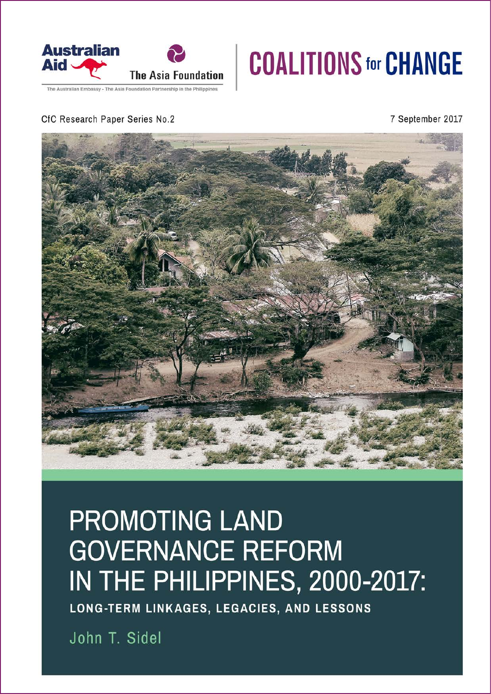

### he Australian Embassy - The Asia Foundation Partnership in the Philippines

## **COALITIONS for CHANGE**

### CfC Research Paper Series No.2

7 September 2017



## **PROMOTING LAND GOVERNANCE REFORM** IN THE PHILIPPINES, 2000-2017:

LONG-TERM LINKAGES, LEGACIES, AND LESSONS

John T. Sidel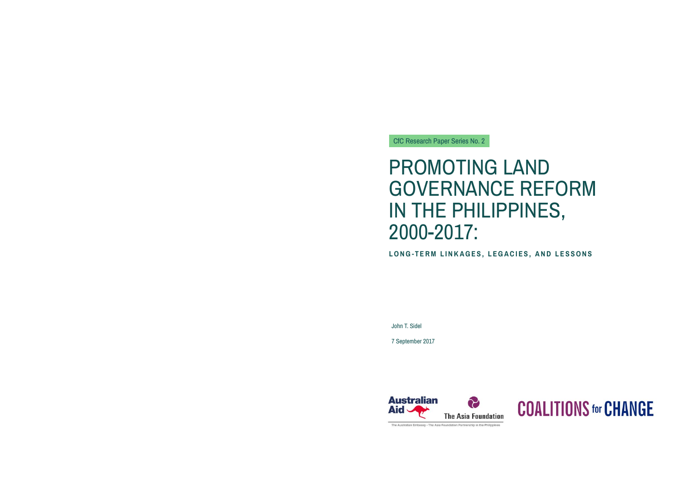John T. Sidel

7 September 2017



The Australian Embassy - The Asia Foundation Partnership in the Philippines

## **COALITIONS for CHANGE**

### CfC Research Paper Series No. 2

## PROMOTING LAND GOVERNANCE REFORM IN THE PHILIPPINES, 2000-2017:

**LONG-TERM LINKAGES, LEGACIES, AND LESSONS**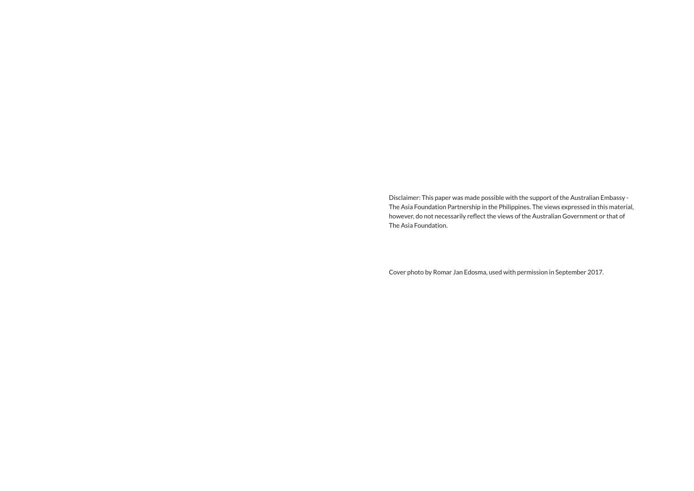Disclaimer: This paper was made possible with the support of the Australian Embassy - The Asia Foundation Partnership in the Philippines. The views expressed in this material, however, do not necessarily reflect the views of the Australian Government or that of The Asia Foundation.

Cover photo by Romar Jan Edosma, used with permission in September 2017.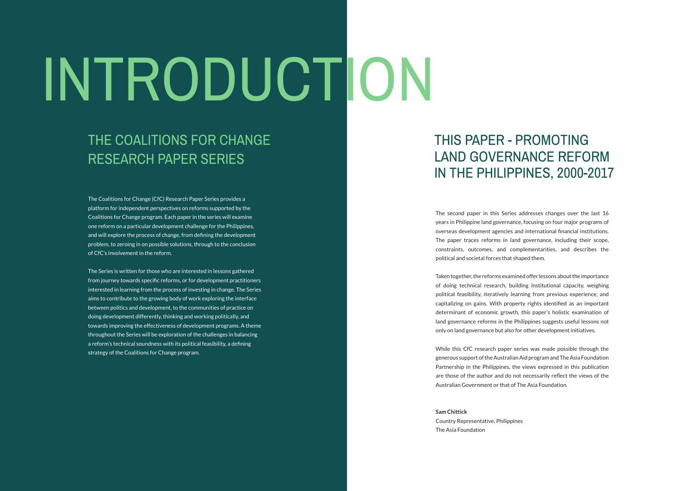The Coalitions for Change (CfC) Research Paper Series provides a platform for independent perspectives on reforms supported by the Coalitions for Change program. Each paper in the series will examine one reform on a particular development challenge for the Philippines, and will explore the process of change, from defining the development problem, to zeroing in on possible solutions, through to the conclusion of CfC's involvement in the reform.

The Series is written for those who are interested in lessons gathered<br>The Series is written for those who are interested in lessons gathered tur adipiscing elitn nullam lobortis nisl from journey towards specific reforms, or for development practitioners aims to contribute to the growing body of work exploring the interface interested in learning from the process of investing in change. The Series between politics and development, to the communities of practice on doing development differently, thinking and working politically, and towards improving the effectiveness of development programs. A theme throughout the Series will be exploration of the challenges in balancing a reform's technical soundness with its political feasibility, a defining strategy of the Coalitions for Change program.

The second paper in this Series addresses changes over the last 16 years in Philippine land governance, focusing on four major programs of overseas development agencies and international financial institutions. The paper traces reforms in land governance, including their scope, constraints, outcomes, and complementarities, and describes the political and societal forces that shaped them.

Taken together, the reforms examined offer lessons about the importance of doing technical research, building institutional capacity, weighing political feasibility, iteratively learning from previous experience, and capitalizing on gains. With property rights identified as an important determinant of economic growth, this paper's holistic examination of land governance reforms in the Philippines suggests useful lessons not only on land governance but also for other development initiatives.

While this CfC research paper series was made possible through the generous support of the Australian Aid program and The Asia Foundation Partnership in the Philippines, the views expressed in this publication are those of the author and do not necessarily reflect the views of the Australian Government or that of The Asia Foundation.

**Sam Chittick** Country Representative, Philippines The Asia Foundation

### THE COALITIONS FOR CHANGE RESEARCH PAPER SERIES

# INTRODUCTION

### THIS PAPER - PROMOTING LAND GOVERNANCE REFORM IN THE PHILIPPINES, 2000-2017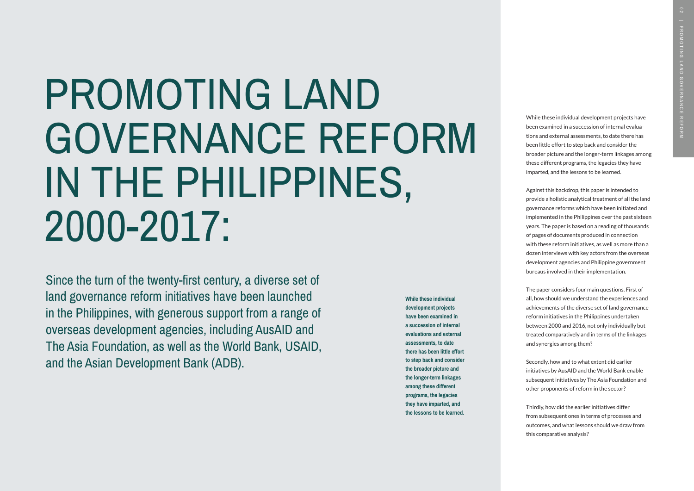Since the turn of the twenty-first century, a diverse set of land governance reform initiatives have been launched in the Philippines, with generous support from a range of overseas development agencies, including AusAID and The Asia Foundation, as well as the World Bank, USAID, and the Asian Development Bank (ADB).

# PROMOTING LAND GOVERNANCE REFORM IN THE PHILIPPINES, 2000-2017:

While these individual development projects have been examined in a succession of internal evaluations and external assessments, to date there has been little effort to step back and consider the broader picture and the longer-term linkages among these different programs, the legacies they have imparted, and the lessons to be learned.

Against this backdrop, this paper is intended to provide a holistic analytical treatment of all the land governance reforms which have been initiated and implemented in the Philippines over the past sixteen years. The paper is based on a reading of thousands of pages of documents produced in connection with these reform initiatives, as well as more than a dozen interviews with key actors from the overseas development agencies and Philippine government bureaus involved in their implementation.

The paper considers four main questions. First of all, how should we understand the experiences and achievements of the diverse set of land governance reform initiatives in the Philippines undertaken between 2000 and 2016, not only individually but treated comparatively and in terms of the linkages and synergies among them?

Secondly, how and to what extent did earlier initiatives by AusAID and the World Bank enable subsequent initiatives by The Asia Foundation and other proponents of reform in the sector?

Thirdly, how did the earlier initiatives differ from subsequent ones in terms of processes and outcomes, and what lessons should we draw from this comparative analysis?

**While these individual development projects have been examined in a succession of internal evaluations and external assessments, to date there has been little effort to step back and consider the broader picture and the longer-term linkages among these different programs, the legacies they have imparted, and the lessons to be learned.**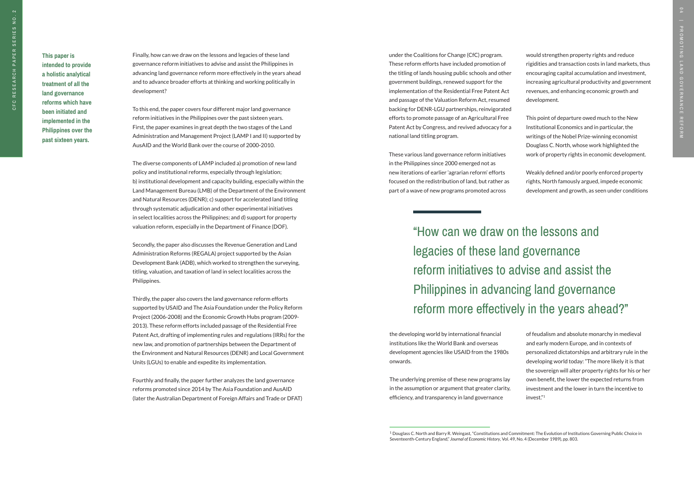<sup>1</sup> Douglass C. North and Barry R. Weingast, "Constitutions and Commitment: The Evolution of Institutions Governing Public Choice in

"How can we draw on the lessons and legacies of these land governance reform initiatives to advise and assist the Philippines in advancing land governance reform more effectively in the years ahead?"

Finally, how can we draw on the lessons and legacies of these land governance reform initiatives to advise and assist the Philippines in advancing land governance reform more effectively in the years ahead and to advance broader efforts at thinking and working politically in development?

To this end, the paper covers four different major land governance reform initiatives in the Philippines over the past sixteen years. First, the paper examines in great depth the two stages of the Land Administration and Management Project (LAMP I and II) supported by AusAID and the World Bank over the course of 2000-2010.

The diverse components of LAMP included a) promotion of new land policy and institutional reforms, especially through legislation; b) institutional development and capacity building, especially within the Land Management Bureau (LMB) of the Department of the Environment and Natural Resources (DENR); c) support for accelerated land titling through systematic adjudication and other experimental initiatives in select localities across the Philippines; and d) support for property valuation reform, especially in the Department of Finance (DOF).

Secondly, the paper also discusses the Revenue Generation and Land Administration Reforms (REGALA) project supported by the Asian Development Bank (ADB), which worked to strengthen the surveying, titling, valuation, and taxation of land in select localities across the Philippines.

Thirdly, the paper also covers the land governance reform efforts supported by USAID and The Asia Foundation under the Policy Reform Project (2006-2008) and the Economic Growth Hubs program (2009- 2013). These reform efforts included passage of the Residential Free Patent Act, drafting of implementing rules and regulations (IRRs) for the new law, and promotion of partnerships between the Department of the Environment and Natural Resources (DENR) and Local Government Units (LGUs) to enable and expedite its implementation.

Fourthly and finally, the paper further analyzes the land governance reforms promoted since 2014 by The Asia Foundation and AusAID (later the Australian Department of Foreign Affairs and Trade or DFAT) under the Coalitions for Change (CfC) program. These reform efforts have included promotion of the titling of lands housing public schools and other government buildings, renewed support for the implementation of the Residential Free Patent Act and passage of the Valuation Reform Act, resumed backing for DENR-LGU partnerships, reinvigorated efforts to promote passage of an Agricultural Free Patent Act by Congress, and revived advocacy for a national land titling program.

These various land governance reform initiatives in the Philippines since 2000 emerged not as new iterations of earlier 'agrarian reform' efforts focused on the redistribution of land, but rather as part of a wave of new programs promoted across

the developing world by international financial institutions like the World Bank and overseas development agencies like USAID from the 1980s onwards.

The underlying premise of these new programs lay in the assumption or argument that greater clarity, efficiency, and transparency in land governance

would strengthen property rights and reduce rigidities and transaction costs in land markets, thus encouraging capital accumulation and investment, increasing agricultural productivity and government revenues, and enhancing economic growth and development.

This point of departure owed much to the New Institutional Economics and in particular, the writings of the Nobel Prize-winning economist Douglass C. North, whose work highlighted the work of property rights in economic development.

Weakly defined and/or poorly enforced property rights, North famously argued, impede economic development and growth, as seen under conditions

of feudalism and absolute monarchy in medieval and early modern Europe, and in contexts of personalized dictatorships and arbitrary rule in the developing world today: "The more likely it is that the sovereign will alter property rights for his or her own benefit, the lower the expected returns from investment and the lower in turn the incentive to invest."1

**This paper is intended to provide a holistic analytical treatment of all the land governance reforms which have been initiated and implemented in the Philippines over the past sixteen years.**

Seventeenth-Century England," *Journal of Economic History*, Vol. 49, No. 4 (December 1989), pp. 803.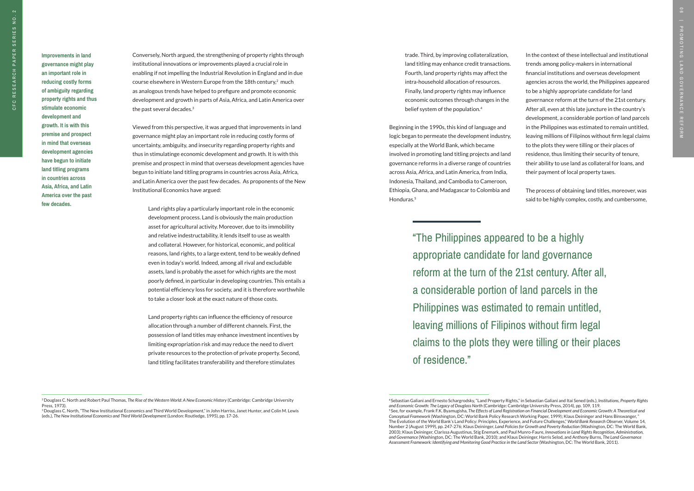CFC

**Improvements in land governance might play an important role in reducing costly forms of ambiguity regarding property rights and thus stimulate economic development and growth. It is with this premise and prospect in mind that overseas development agencies have begun to initiate land titling programs in countries across Asia, Africa, and Latin America over the past few decades.**

> "The Philippines appeared to be a highly appropriate candidate for land governance reform at the turn of the 21st century. After all, a considerable portion of land parcels in the Philippines was estimated to remain untitled, leaving millions of Filipinos without firm legal claims to the plots they were tilling or their places of residence."

Beginning in the 1990s, this kind of language and logic began to permeate the development industry, especially at the World Bank, which became involved in promoting land titling projects and land governance reforms in a diverse range of countries across Asia, Africa, and Latin America, from India, Indonesia, Thailand, and Cambodia to Cameroon, Ethiopia, Ghana, and Madagascar to Colombia and Honduras.<sup>5</sup>

Conversely, North argued, the strengthening of property rights through institutional innovations or improvements played a crucial role in enabling if not impelling the Industrial Revolution in England and in due course elsewhere in Western Europe from the 18th century,<sup>2</sup> much as analogous trends have helped to prefigure and promote economic development and growth in parts of Asia, Africa, and Latin America over the past several decades.3

Viewed from this perspective, it was argued that improvements in land governance might play an important role in reducing costly forms of uncertainty, ambiguity, and insecurity regarding property rights and thus in stimulatinge economic development and growth. It is with this premise and prospect in mind that overseas development agencies have begun to initiate land titling programs in countries across Asia, Africa, and Latin America over the past few decades. As proponents of the New Institutional Economics have argued:

Land rights play a particularly important role in the economic development process. Land is obviously the main production asset for agricultural activity. Moreover, due to its immobility and relative indestructability, it lends itself to use as wealth and collateral. However, for historical, economic, and political reasons, land rights, to a large extent, tend to be weakly defined even in today's world. Indeed, among all rival and excludable assets, land is probably the asset for which rights are the most poorly defined, in particular in developing countries. This entails a potential efficiency loss for society, and it is therefore worthwhile to take a closer look at the exact nature of those costs.

Land property rights can influence the efficiency of resource allocation through a number of different channels. First, the possession of land titles may enhance investment incentives by limiting expropriation risk and may reduce the need to divert private resources to the protection of private property. Second, land titling facilitates transferability and therefore stimulates

trade. Third, by improving collateralization, land titling may enhance credit transactions. Fourth, land property rights may affect the intra-household allocation of resources. Finally, land property rights may influence economic outcomes through changes in the belief system of the population.4

In the context of these intellectual and institutional trends among policy-makers in international financial institutions and overseas development agencies across the world, the Philippines appeared to be a highly appropriate candidate for land governance reform at the turn of the 21st century. After all, even at this late juncture in the country's development, a considerable portion of land parcels in the Philippines was estimated to remain untitled, leaving millions of Filipinos without firm legal claims to the plots they were tilling or their places of residence, thus limiting their security of tenure, their ability to use land as collateral for loans, and their payment of local property taxes.

The process of obtaining land titles, moreover, was said to be highly complex, costly, and cumbersome,

<sup>4</sup>Sebastian Galiani and Ernesto Schargrodsky, "Land Property Rights," in Sebastian Galiani and Itai Sened (eds.), *Institutions, Property Rights and Economic Growth: The Legacy of Douglass North* (Cambridge: Cambridge University Press, 2014), pp. 109, 119. 5 See, for example, Frank F.K. Byamugisha, *The Effects of Land Registration on Financial Development and Economic Growth: A Theoretical and Conceptual Framework* (Washington, DC: World Bank Policy Research Working Paper, 1999); Klaus Deininger and Hans Binswanger, " The Evolution of the World Bank's Land Policy: Principles, Experience, and Future Challenges," *World Bank Research Observer,* Volume 14, Number 2 (August 1999), pp. 247-276; Klaus Deininger, *Land Policies for Growth and Poverty Reduction* (Washington, DC: The World Bank, 2003); Klaus Deininger, Clarissa Augustinus, Stig Enemark, and Paul Munro-Faure, *Innovations in Land Rights Recognition, Administration, and Governance* (Washington, DC: The World Bank, 2010); and Klaus Deininger, Harris Selod, and Anthony Burns, *The Land Governance*  Assessment Framework: Identifying and Monitoring Good Practice in the Land Sector (Washington, DC: The World Bank, 2011).

<sup>&</sup>lt;sup>2</sup> Douglass C. North and Robert Paul Thomas, *The Rise of the Western World: A New Economic History* (Cambridge: Cambridge University Press, 1973).

<sup>&</sup>lt;sup>3</sup> Douglass C. North, "The New Institutional Economics and Third World Development," in John Harriss, Janet Hunter, and Colin M. Lewis (eds.), *The New Institutional Economics and Third World Development* (London: Routledge, 1995), pp. 17-26.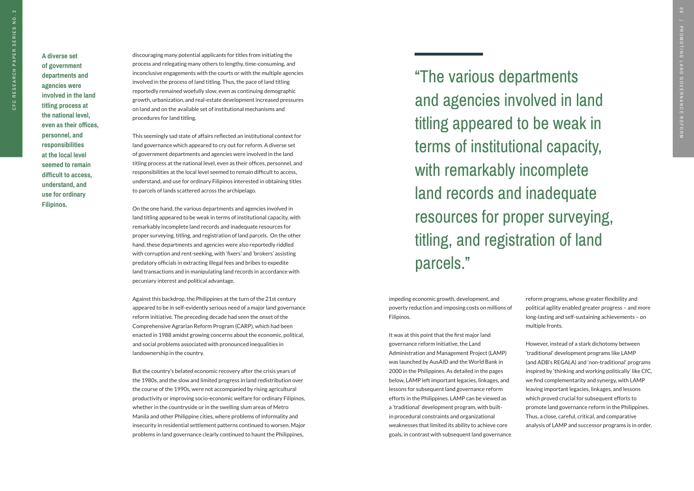"The various departments and agencies involved in land titling appeared to be weak in terms of institutional capacity, with remarkably incomplete land records and inadequate resources for proper surveying, titling, and registration of land parcels."

discouraging many potential applicants for titles from initiating the process and relegating many others to lengthy, time-consuming, and inconclusive engagements with the courts or with the multiple agencies involved in the process of land titling. Thus, the pace of land titling reportedly remained woefully slow, even as continuing demographic growth, urbanization, and real-estate development increased pressures on land and on the available set of institutional mechanisms and procedures for land titling.

This seemingly sad state of affairs reflected an institutional context for land governance which appeared to cry out for reform. A diverse set of government departments and agencies were involved in the land titling process at the national level, even as their offices, personnel, and responsibilities at the local level seemed to remain difficult to access, understand, and use for ordinary Filipinos interested in obtaining titles to parcels of lands scattered across the archipelago.

On the one hand, the various departments and agencies involved in land titling appeared to be weak in terms of institutional capacity, with remarkably incomplete land records and inadequate resources for proper surveying, titling, and registration of land parcels. On the other hand, these departments and agencies were also reportedly riddled with corruption and rent-seeking, with 'fixers' and 'brokers' assisting predatory officials in extracting illegal fees and bribes to expedite land transactions and in manipulating land records in accordance with pecuniary interest and political advantage.

Against this backdrop, the Philippines at the turn of the 21st century appeared to be in self-evidently serious need of a major land governance reform initiative. The preceding decade had seen the onset of the Comprehensive Agrarian Reform Program (CARP), which had been enacted in 1988 amidst growing concerns about the economic, political, and social problems associated with pronounced inequalities in landownership in the country.

But the country's belated economic recovery after the crisis years of the 1980s, and the slow and limited progress in land redistribution over the course of the 1990s, were not accompanied by rising agricultural productivity or improving socio-economic welfare for ordinary Filipinos, whether in the countryside or in the swelling slum areas of Metro Manila and other Philippine cities, where problems of informality and insecurity in residential settlement patterns continued to worsen. Major problems in land governance clearly continued to haunt the Philippines,

impeding economic growth, development, and poverty reduction and imposing costs on millions of Filipinos.

It was at this point that the first major land governance reform initiative, the Land Administration and Management Project (LAMP) was launched by AusAID and the World Bank in 2000 in the Philippines. As detailed in the pages below, LAMP left important legacies, linkages, and lessons for subsequent land governance reform efforts in the Philippines. LAMP can be viewed as a 'traditional' development program, with builtin procedural constraints and organizational weaknesses that limited its ability to achieve core goals, in contrast with subsequent land governance reform programs, whose greater flexibility and political agility enabled greater progress – and more long-lasting and self-sustaining achievements – on multiple fronts.

However, instead of a stark dichotomy between 'traditional' development programs like LAMP (and ADB's REGALA) and 'non-traditional' programs inspired by 'thinking and working politically' like CfC, we find complementarity and synergy, with LAMP leaving important legacies, linkages, and lessons which proved crucial for subsequent efforts to promote land governance reform in the Philippines. Thus, a close, careful, critical, and comparative analysis of LAMP and successor programs is in order.

**A diverse set of government departments and agencies were involved in the land titling process at the national level, even as their offices, personnel, and responsibilities at the local level seemed to remain difficult to access, understand, and use for ordinary Filipinos.**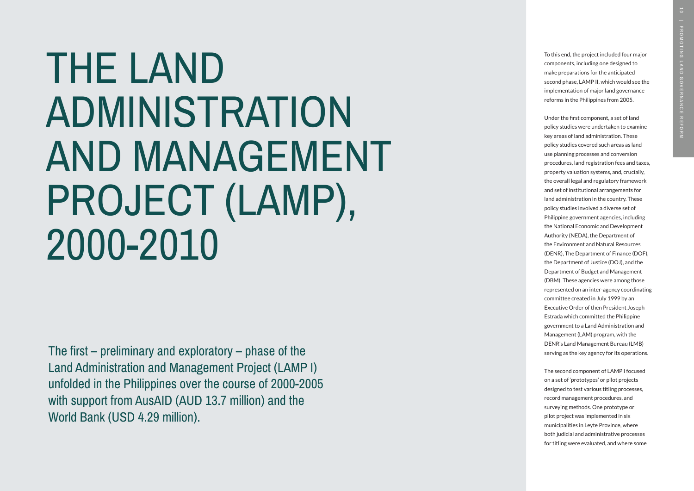# THE LAND ADMINISTRATION AND MANAGEMENT PROJECT (LAMP), 2000-2010

To this end, the project included four major components, including one designed to make preparations for the anticipated second phase, LAMP II, which would see the implementation of major land governance reforms in the Philippines from 2005.

Under the first component, a set of land policy studies were undertaken to examine key areas of land administration. These policy studies covered such areas as land use planning processes and conversion procedures, land registration fees and taxes, property valuation systems, and, crucially, the overall legal and regulatory framework and set of institutional arrangements for land administration in the country. These policy studies involved a diverse set of Philippine government agencies, including the National Economic and Development Authority (NEDA), the Department of the Environment and Natural Resources (DENR), The Department of Finance (DOF), the Department of Justice (DOJ), and the Department of Budget and Management (DBM). These agencies were among those represented on an inter-agency coordinating committee created in July 1999 by an Executive Order of then President Joseph Estrada which committed the Philippine government to a Land Administration and Management (LAM) program, with the DENR's Land Management Bureau (LMB) serving as the key agency for its operations.

The second component of LAMP I focused on a set of 'prototypes' or pilot projects designed to test various titling processes, record management procedures, and surveying methods. One prototype or pilot project was implemented in six municipalities in Leyte Province, where both judicial and administrative processes for titling were evaluated, and where some

The first – preliminary and exploratory – phase of the Land Administration and Management Project (LAMP I) unfolded in the Philippines over the course of 2000-2005 with support from AusAID (AUD 13.7 million) and the World Bank (USD 4.29 million).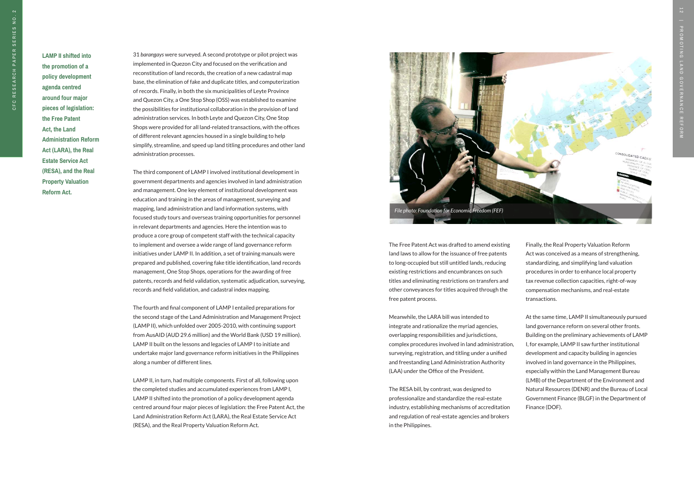**LAMP II shifted into the promotion of a policy development agenda centred around four major pieces of legislation: the Free Patent Act, the Land Administration Reform Act (LARA), the Real Estate Service Act (RESA), and the Real Property Valuation Reform Act.**

31 *barangays* were surveyed. A second prototype or pilot project was implemented in Quezon City and focused on the verification and reconstitution of land records, the creation of a new cadastral map base, the elimination of fake and duplicate titles, and computerization of records. Finally, in both the six municipalities of Leyte Province and Quezon City, a One Stop Shop (OSS) was established to examine the possibilities for institutional collaboration in the provision of land administration services. In both Leyte and Quezon City, One Stop Shops were provided for all land-related transactions, with the offices of different relevant agencies housed in a single building to help simplify, streamline, and speed up land titling procedures and other land administration processes.

The third component of LAMP I involved institutional development in government departments and agencies involved in land administration and management. One key element of institutional development was education and training in the areas of management, surveying and mapping, land administration and land information systems, with focused study tours and overseas training opportunities for personnel in relevant departments and agencies. Here the intention was to produce a core group of competent staff with the technical capacity to implement and oversee a wide range of land governance reform initiatives under LAMP II. In addition, a set of training manuals were prepared and published, covering fake title identification, land records management, One Stop Shops, operations for the awarding of free patents, records and field validation, systematic adjudication, surveying, records and field validation, and cadastral index mapping.

The fourth and final component of LAMP I entailed preparations for the second stage of the Land Administration and Management Project (LAMP II), which unfolded over 2005-2010, with continuing support from AusAID (AUD 29.6 million) and the World Bank (USD 19 million). LAMP II built on the lessons and legacies of LAMP I to initiate and undertake major land governance reform initiatives in the Philippines along a number of different lines.

LAMP II, in turn, had multiple components. First of all, following upon the completed studies and accumulated experiences from LAMP I, LAMP II shifted into the promotion of a policy development agenda centred around four major pieces of legislation: the Free Patent Act, the Land Administration Reform Act (LARA), the Real Estate Service Act (RESA), and the Real Property Valuation Reform Act.

The Free Patent Act was drafted to amend existing land laws to allow for the issuance of free patents to long-occupied but still untitled lands, reducing existing restrictions and encumbrances on such titles and eliminating restrictions on transfers and other conveyances for titles acquired through the free patent process.

Meanwhile, the LARA bill was intended to integrate and rationalize the myriad agencies, overlapping responsibilities and jurisdictions, complex procedures involved in land administration, surveying, registration, and titling under a unified and freestanding Land Administration Authority (LAA) under the Office of the President.

The RESA bill, by contrast, was designed to professionalize and standardize the real-estate industry, establishing mechanisms of accreditation and regulation of real-estate agencies and brokers in the Philippines.

Finally, the Real Property Valuation Reform Act was conceived as a means of strengthening, standardizing, and simplifying land valuation procedures in order to enhance local property tax revenue collection capacities, right-of-way compensation mechanisms, and real-estate transactions.

At the same time, LAMP II simultaneously pursued land governance reform on several other fronts. Building on the preliminary achievements of LAMP I, for example, LAMP II saw further institutional development and capacity building in agencies involved in land governance in the Philippines, especially within the Land Management Bureau (LMB) of the Department of the Environment and Natural Resources (DENR) and the Bureau of Local Government Finance (BLGF) in the Department of Finance (DOF).

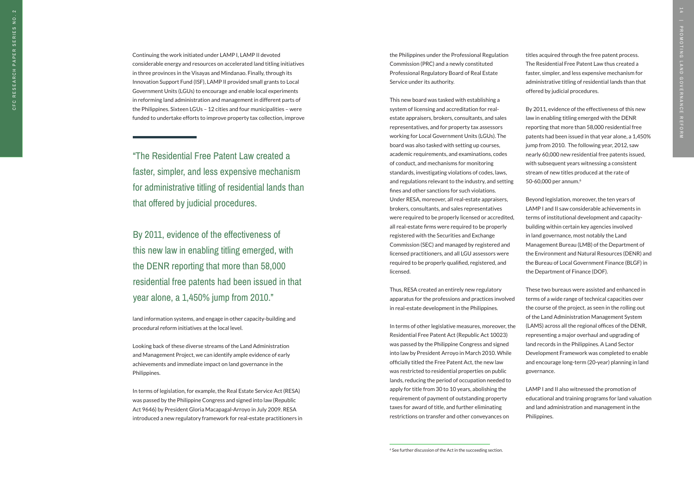"The Residential Free Patent Law created a faster, simpler, and less expensive mechanism for administrative titling of residential lands than that offered by judicial procedures.

By 2011, evidence of the effectiveness of this new law in enabling titling emerged, with the DENR reporting that more than 58,000 residential free patents had been issued in that year alone, a 1,450% jump from 2010."

Continuing the work initiated under LAMP I, LAMP II devoted considerable energy and resources on accelerated land titling initiatives in three provinces in the Visayas and Mindanao. Finally, through its Innovation Support Fund (ISF), LAMP II provided small grants to Local Government Units (LGUs) to encourage and enable local experiments in reforming land administration and management in different parts of the Philippines. Sixteen LGUs – 12 cities and four municipalities – were funded to undertake efforts to improve property tax collection, improve

land information systems, and engage in other capacity-building and procedural reform initiatives at the local level.

Looking back of these diverse streams of the Land Administration and Management Project, we can identify ample evidence of early achievements and immediate impact on land governance in the Philippines.

In terms of legislation, for example, the Real Estate Service Act (RESA) was passed by the Philippine Congress and signed into law (Republic Act 9646) by President Gloria Macapagal-Arroyo in July 2009. RESA introduced a new regulatory framework for real-estate practitioners in the Philippines under the Professional Regulation Commission (PRC) and a newly constituted Professional Regulatory Board of Real Estate Service under its authority.

This new board was tasked with establishing a system of licensing and accreditation for realestate appraisers, brokers, consultants, and sales representatives, and for property tax assessors working for Local Government Units (LGUs). The board was also tasked with setting up courses, academic requirements, and examinations, codes of conduct, and mechanisms for monitoring standards, investigating violations of codes, laws, and regulations relevant to the industry, and setting fines and other sanctions for such violations. Under RESA, moreover, all real-estate appraisers, brokers, consultants, and sales representatives were required to be properly licensed or accredited, all real-estate firms were required to be properly registered with the Securities and Exchange Commission (SEC) and managed by registered and licensed practitioners, and all LGU assessors were required to be properly qualified, registered, and licensed.

Thus, RESA created an entirely new regulatory apparatus for the professions and practices involved in real-estate development in the Philippines.

In terms of other legislative measures, moreover, the Residential Free Patent Act (Republic Act 10023) was passed by the Philippine Congress and signed into law by President Arroyo in March 2010. While officially titled the Free Patent Act, the new law was restricted to residential properties on public lands, reducing the period of occupation needed to apply for title from 30 to 10 years, abolishing the requirement of payment of outstanding property taxes for award of title, and further eliminating restrictions on transfer and other conveyances on

titles acquired through the free patent process. The Residential Free Patent Law thus created a faster, simpler, and less expensive mechanism for administrative titling of residential lands than that offered by judicial procedures.

By 2011, evidence of the effectiveness of this new law in enabling titling emerged with the DENR reporting that more than 58,000 residential free patents had been issued in that year alone, a 1,450% jump from 2010. The following year, 2012, saw nearly 60,000 new residential free patents issued, with subsequent years witnessing a consistent stream of new titles produced at the rate of 50-60,000 per annum. 6

Beyond legislation, moreover, the ten years of LAMP I and II saw considerable achievements in terms of institutional development and capacitybuilding within certain key agencies involved in land governance, most notably the Land Management Bureau (LMB) of the Department of the Environment and Natural Resources (DENR) and the Bureau of Local Government Finance (BLGF) in the Department of Finance (DOF).

These two bureaus were assisted and enhanced in terms of a wide range of technical capacities over the course of the project, as seen in the rolling out of the Land Administration Management System (LAMS) across all the regional offices of the DENR, representing a major overhaul and upgrading of land records in the Philippines. A Land Sector Development Framework was completed to enable and encourage long-term (20-year) planning in land governance.

LAMP I and II also witnessed the promotion of educational and training programs for land valuation and land administration and management in the Philippines.

<sup>6</sup> See further discussion of the Act in the succeeding section.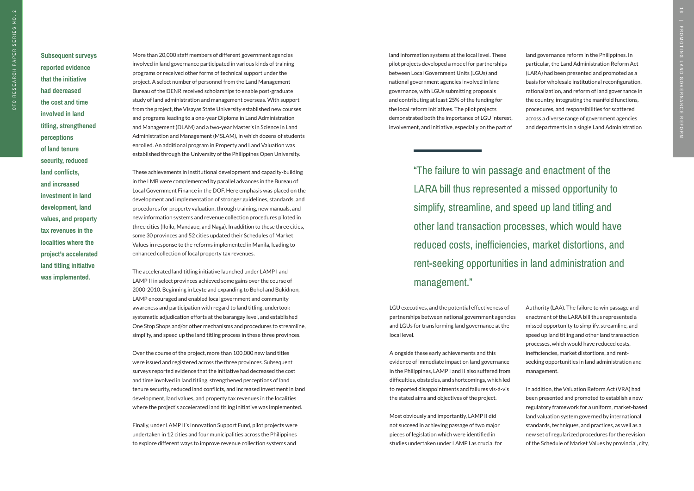"The failure to win passage and enactment of the LARA bill thus represented a missed opportunity to simplify, streamline, and speed up land titling and other land transaction processes, which would have reduced costs, inefficiencies, market distortions, and rent-seeking opportunities in land administration and management."

**Subsequent surveys** 

**reported evidence that the initiative had decreased the cost and time involved in land titling, strengthened perceptions of land tenure security, reduced land conflicts, and increased investment in land development, land values, and property tax revenues in the localities where the project's accelerated land titling initiative was implemented.** 

More than 20,000 staff members of different government agencies involved in land governance participated in various kinds of training programs or received other forms of technical support under the project. A select number of personnel from the Land Management Bureau of the DENR received scholarships to enable post-graduate study of land administration and management overseas. With support from the project, the Visayas State University established new courses and programs leading to a one-year Diploma in Land Administration and Management (DLAM) and a two-year Master's in Science in Land Administration and Management (MSLAM), in which dozens of students enrolled. An additional program in Property and Land Valuation was established through the University of the Philippines Open University.

These achievements in institutional development and capacity-building in the LMB were complemented by parallel advances in the Bureau of Local Government Finance in the DOF. Here emphasis was placed on the development and implementation of stronger guidelines, standards, and procedures for property valuation, through training, new manuals, and new information systems and revenue collection procedures piloted in three cities (Iloilo, Mandaue, and Naga). In addition to these three cities, some 30 provinces and 52 cities updated their Schedules of Market Values in response to the reforms implemented in Manila, leading to enhanced collection of local property tax revenues.

The accelerated land titling initiative launched under LAMP I and LAMP II in select provinces achieved some gains over the course of 2000-2010. Beginning in Leyte and expanding to Bohol and Bukidnon, LAMP encouraged and enabled local government and community awareness and participation with regard to land titling, undertook systematic adjudication efforts at the barangay level, and established One Stop Shops and/or other mechanisms and procedures to streamline, simplify, and speed up the land titling process in these three provinces.

Over the course of the project, more than 100,000 new land titles were issued and registered across the three provinces. Subsequent surveys reported evidence that the initiative had decreased the cost and time involved in land titling, strengthened perceptions of land tenure security, reduced land conflicts, and increased investment in land development, land values, and property tax revenues in the localities where the project's accelerated land titling initiative was implemented.

Finally, under LAMP II's Innovation Support Fund, pilot projects were undertaken in 12 cities and four municipalities across the Philippines to explore different ways to improve revenue collection systems and

land information systems at the local level. These pilot projects developed a model for partnerships between Local Government Units (LGUs) and national government agencies involved in land governance, with LGUs submitting proposals and contributing at least 25% of the funding for the local reform initiatives. The pilot projects demonstrated both the importance of LGU interest, involvement, and initiative, especially on the part of

LGU executives, and the potential effectiveness of partnerships between national government agencies and LGUs for transforming land governance at the local level.

Alongside these early achievements and this evidence of immediate impact on land governance in the Philippines, LAMP I and II also suffered from difficulties, obstacles, and shortcomings, which led to reported disappointments and failures vis-à-vis the stated aims and objectives of the project.

Most obviously and importantly, LAMP II did not succeed in achieving passage of two major pieces of legislation which were identified in studies undertaken under LAMP I as crucial for land governance reform in the Philippines. In particular, the Land Administration Reform Act (LARA) had been presented and promoted as a basis for wholesale institutional reconfiguration, rationalization, and reform of land governance in the country, integrating the manifold functions, procedures, and responsibilities for scattered across a diverse range of government agencies and departments in a single Land Administration

Authority (LAA). The failure to win passage and enactment of the LARA bill thus represented a missed opportunity to simplify, streamline, and speed up land titling and other land transaction processes, which would have reduced costs, inefficiencies, market distortions, and rentseeking opportunities in land administration and management.

In addition, the Valuation Reform Act (VRA) had been presented and promoted to establish a new regulatory framework for a uniform, market-based land valuation system governed by international standards, techniques, and practices, as well as a new set of regularized procedures for the revision of the Schedule of Market Values by provincial, city,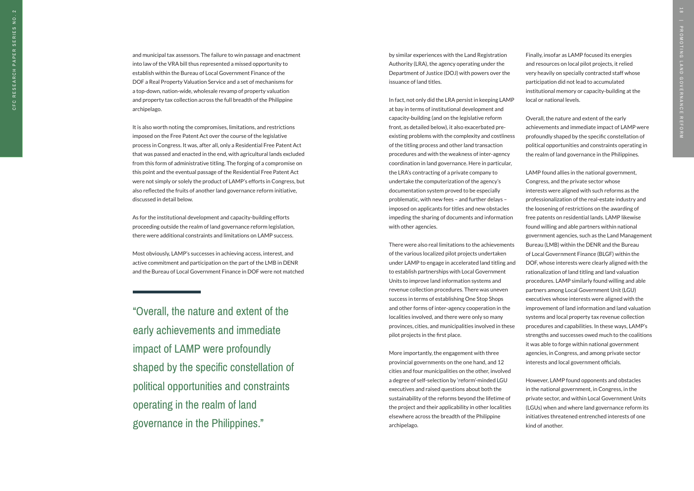"Overall, the nature and extent of the early achievements and immediate impact of LAMP were profoundly shaped by the specific constellation of political opportunities and constraints operating in the realm of land governance in the Philippines."

and municipal tax assessors. The failure to win passage and enactment into law of the VRA bill thus represented a missed opportunity to establish within the Bureau of Local Government Finance of the DOF a Real Property Valuation Service and a set of mechanisms for a top-down, nation-wide, wholesale revamp of property valuation and property tax collection across the full breadth of the Philippine archipelago.

It is also worth noting the compromises, limitations, and restrictions imposed on the Free Patent Act over the course of the legislative process in Congress. It was, after all, only a Residential Free Patent Act that was passed and enacted in the end, with agricultural lands excluded from this form of administrative titling. The forging of a compromise on this point and the eventual passage of the Residential Free Patent Act were not simply or solely the product of LAMP's efforts in Congress, but also reflected the fruits of another land governance reform initiative, discussed in detail below.

As for the institutional development and capacity-building efforts proceeding outside the realm of land governance reform legislation, there were additional constraints and limitations on LAMP success.

Most obviously, LAMP's successes in achieving access, interest, and active commitment and participation on the part of the LMB in DENR and the Bureau of Local Government Finance in DOF were not matched by similar experiences with the Land Registration Authority (LRA), the agency operating under the Department of Justice (DOJ) with powers over the issuance of land titles.

In fact, not only did the LRA persist in keeping LAMP at bay in terms of institutional development and capacity-building (and on the legislative reform front, as detailed below), it also exacerbated preexisting problems with the complexity and costliness of the titling process and other land transaction procedures and with the weakness of inter-agency coordination in land governance. Here in particular, the LRA's contracting of a private company to undertake the computerization of the agency's documentation system proved to be especially problematic, with new fees – and further delays – imposed on applicants for titles and new obstacles impeding the sharing of documents and information with other agencies.

There were also real limitations to the achievements of the various localized pilot projects undertaken under LAMP to engage in accelerated land titling and to establish partnerships with Local Government Units to improve land information systems and revenue collection procedures. There was uneven success in terms of establishing One Stop Shops and other forms of inter-agency cooperation in the localities involved, and there were only so many provinces, cities, and municipalities involved in these pilot projects in the first place.

More importantly, the engagement with three provincial governments on the one hand, and 12 cities and four municipalities on the other, involved a degree of self-selection by 'reform'-minded LGU executives and raised questions about both the sustainability of the reforms beyond the lifetime of the project and their applicability in other localities elsewhere across the breadth of the Philippine archipelago.

Finally, insofar as LAMP focused its energies and resources on local pilot projects, it relied very heavily on specially contracted staff whose participation did not lead to accumulated institutional memory or capacity-building at the local or national levels.

Overall, the nature and extent of the early achievements and immediate impact of LAMP were profoundly shaped by the specific constellation of political opportunities and constraints operating in the realm of land governance in the Philippines.

LAMP found allies in the national government, Congress, and the private sector whose interests were aligned with such reforms as the professionalization of the real-estate industry and the loosening of restrictions on the awarding of free patents on residential lands. LAMP likewise found willing and able partners within national government agencies, such as the Land Management Bureau (LMB) within the DENR and the Bureau of Local Government Finance (BLGF) within the DOF, whose interests were clearly aligned with the rationalization of land titling and land valuation procedures. LAMP similarly found willing and able partners among Local Government Unit (LGU) executives whose interests were aligned with the improvement of land information and land valuation systems and local property tax revenue collection procedures and capabilities. In these ways, LAMP's strengths and successes owed much to the coalitions it was able to forge within national government agencies, in Congress, and among private sector interests and local government officials.

However, LAMP found opponents and obstacles in the national government, in Congress, in the private sector, and within Local Government Units (LGUs) when and where land governance reform its initiatives threatened entrenched interests of one kind of another.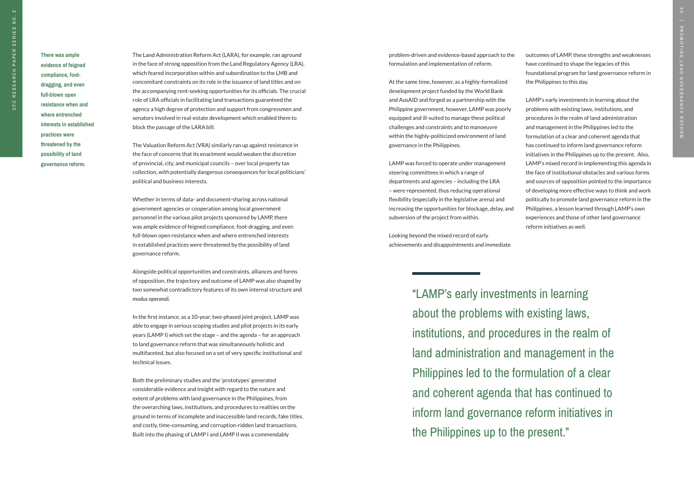"LAMP's early investments in learning about the problems with existing laws, institutions, and procedures in the realm of land administration and management in the Philippines led to the formulation of a clear and coherent agenda that has continued to inform land governance reform initiatives in the Philippines up to the present."

**There was ample evidence of feigned compliance, footdragging, and even full-blown open resistance when and where entrenched interests in established practices were threatened by the possibility of land governance reform.** 

The Land Administration Reform Act (LARA), for example, ran aground in the face of strong opposition from the Land Regulatory Agency (LRA), which feared incorporation within and subordination to the LMB and concomitant constraints on its role in the issuance of land titles and on the accompanying rent-seeking opportunities for its officials. The crucial role of LRA officials in facilitating land transactions guaranteed the agency a high degree of protection and support from congressmen and senators involved in real-estate development which enabled them to block the passage of the LARA bill.

The Valuation Reform Act (VRA) similarly ran up against resistance in the face of concerns that its enactment would weaken the discretion of provincial, city, and municipal councils – over local property tax collection, with potentially dangerous consequences for local politicians' political and business interests.

Whether in terms of data- and document-sharing across national government agencies or cooperation among local government personnel in the various pilot projects sponsored by LAMP, there was ample evidence of feigned compliance, foot-dragging, and even full-blown open resistance when and where entrenched interests in established practices were threatened by the possibility of land governance reform.

Alongside political opportunities and constraints, alliances and forms of opposition, the trajectory and outcome of LAMP was also shaped by two somewhat contradictory features of its own internal structure and *modus operandi.* 

In the first instance, as a 10-year, two-phased joint project, LAMP was able to engage in serious scoping studies and pilot projects in its early years (LAMP I) which set the stage – and the agenda – for an approach to land governance reform that was simultaneously holistic and multifaceted, but also focused on a set of very specific institutional and technical issues.

Both the preliminary studies and the 'prototypes' generated considerable evidence and insight with regard to the nature and extent of problems with land governance in the Philippines, from the overarching laws, institutions, and procedures to realities on the ground in terms of incomplete and inaccessible land records, fake titles, and costly, time-consuming, and corruption-ridden land transactions. Built into the phasing of LAMP I and LAMP II was a commendably

problem-driven and evidence-based approach to the formulation and implementation of reform.

At the same time, however, as a highly-formalized development project funded by the World Bank and AusAID and forged as a partnership with the Philippine government, however, LAMP was poorly equipped and ill-suited to manage these political challenges and constraints and to manoeuvre within the highly-politicized environment of land governance in the Philippines.

LAMP was forced to operate under management steering committees in which a range of departments and agencies – including the LRA – were represented, thus reducing operational flexibility (especially in the legislative arena) and increasing the opportunities for blockage, delay, and subversion of the project from within.

Looking beyond the mixed record of early achievements and disappointments and immediate outcomes of LAMP, these strengths and weaknesses have continued to shape the legacies of this foundational program for land governance reform in the Philippines to this day.

LAMP's early investments in learning about the problems with existing laws, institutions, and procedures in the realm of land administration and management in the Philippines led to the formulation of a clear and coherent agenda that has continued to inform land governance reform initiatives in the Philippines up to the present. Also, LAMP's mixed record in implementing this agenda in the face of institutional obstacles and various forms and sources of opposition pointed to the importance of developing more effective ways to think and work politically to promote land governance reform in the Philippines, a lesson learned through LAMP's own experiences and those of other land governance reform initiatives as well.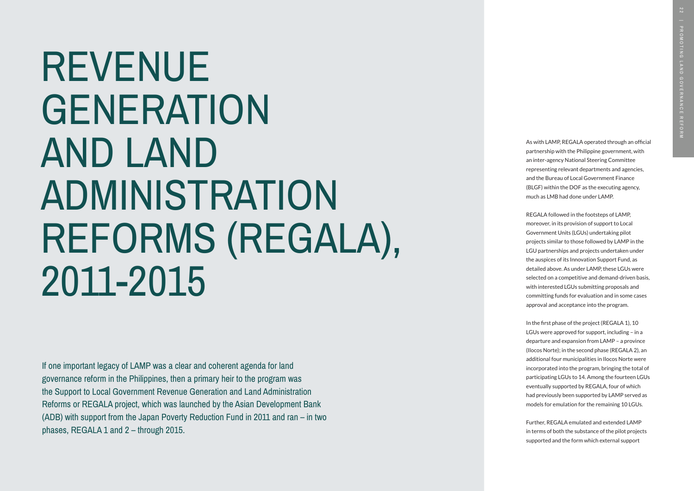REVENUE GENERATION AND LAND ADMINISTRATION REFORMS (REGALA), 2011-2015

As with LAMP, REGALA operated through an official partnership with the Philippine government, with an inter-agency National Steering Committee representing relevant departments and agencies, and the Bureau of Local Government Finance (BLGF) within the DOF as the executing agency, much as LMB had done under LAMP.

REGALA followed in the footsteps of LAMP, moreover, in its provision of support to Local Government Units (LGUs) undertaking pilot projects similar to those followed by LAMP in the LGU partnerships and projects undertaken under the auspices of its Innovation Support Fund, as detailed above. As under LAMP, these LGUs were selected on a competitive and demand-driven basis, with interested LGUs submitting proposals and committing funds for evaluation and in some cases approval and acceptance into the program.

In the first phase of the project (REGALA 1), 10 LGUs were approved for support, including – in a departure and expansion from LAMP – a province (Ilocos Norte); in the second phase (REGALA 2), an additional four municipalities in Ilocos Norte were incorporated into the program, bringing the total of participating LGUs to 14. Among the fourteen LGUs eventually supported by REGALA, four of which had previously been supported by LAMP served as models for emulation for the remaining 10 LGUs.

Further, REGALA emulated and extended LAMP in terms of both the substance of the pilot projects supported and the form which external support

If one important legacy of LAMP was a clear and coherent agenda for land governance reform in the Philippines, then a primary heir to the program was the Support to Local Government Revenue Generation and Land Administration Reforms or REGALA project, which was launched by the Asian Development Bank (ADB) with support from the Japan Poverty Reduction Fund in 2011 and ran – in two phases, REGALA 1 and 2 – through 2015.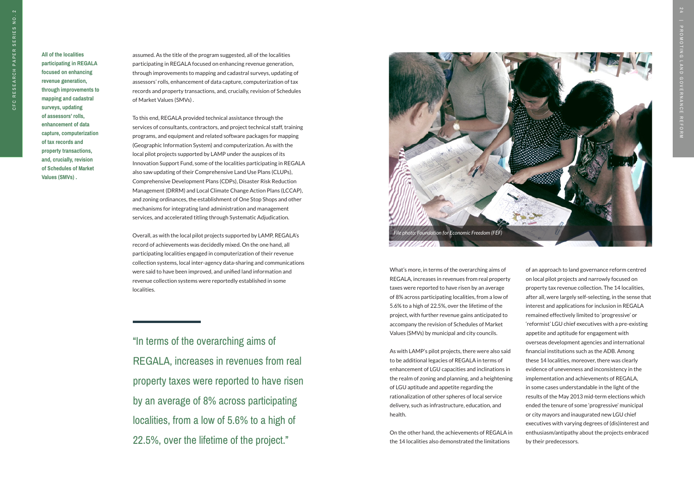"In terms of the overarching aims of REGALA, increases in revenues from real property taxes were reported to have risen by an average of 8% across participating localities, from a low of 5.6% to a high of 22.5%, over the lifetime of the project."

**All of the localities participating in REGALA focused on enhancing revenue generation, through improvements to mapping and cadastral surveys, updating of assessors' rolls, enhancement of data capture, computerization of tax records and property transactions, and, crucially, revision of Schedules of Market Values (SMVs) .** 

assumed. As the title of the program suggested, all of the localities participating in REGALA focused on enhancing revenue generation, through improvements to mapping and cadastral surveys, updating of assessors' rolls, enhancement of data capture, computerization of tax records and property transactions, and, crucially, revision of Schedules of Market Values (SMVs) .

To this end, REGALA provided technical assistance through the services of consultants, contractors, and project technical staff, training programs, and equipment and related software packages for mapping (Geographic Information System) and computerization. As with the local pilot projects supported by LAMP under the auspices of its Innovation Support Fund, some of the localities participating in REGALA also saw updating of their Comprehensive Land Use Plans (CLUPs), Comprehensive Development Plans (CDPs), Disaster Risk Reduction Management (DRRM) and Local Climate Change Action Plans (LCCAP), and zoning ordinances, the establishment of One Stop Shops and other mechanisms for integrating land administration and management services, and accelerated titling through Systematic Adjudication.

Overall, as with the local pilot projects supported by LAMP, REGALA's record of achievements was decidedly mixed. On the one hand, all participating localities engaged in computerization of their revenue collection systems, local inter-agency data-sharing and communications were said to have been improved, and unified land information and revenue collection systems were reportedly established in some localities.

What's more, in terms of the overarching aims of REGALA, increases in revenues from real property taxes were reported to have risen by an average of 8% across participating localities, from a low of 5.6% to a high of 22.5%, over the lifetime of the project, with further revenue gains anticipated to accompany the revision of Schedules of Market Values (SMVs) by municipal and city councils.

As with LAMP's pilot projects, there were also said to be additional legacies of REGALA in terms of enhancement of LGU capacities and inclinations in the realm of zoning and planning, and a heightening of LGU aptitude and appetite regarding the rationalization of other spheres of local service delivery, such as infrastructure, education, and health.

On the other hand, the achievements of REGALA in the 14 localities also demonstrated the limitations

of an approach to land governance reform centred on local pilot projects and narrowly focused on property tax revenue collection. The 14 localities, after all, were largely self-selecting, in the sense that interest and applications for inclusion in REGALA remained effectively limited to 'progressive' or 'reformist' LGU chief executives with a pre-existing appetite and aptitude for engagement with overseas development agencies and international financial institutions such as the ADB. Among these 14 localities, moreover, there was clearly evidence of unevenness and inconsistency in the implementation and achievements of REGALA, in some cases understandable in the light of the results of the May 2013 mid-term elections which ended the tenure of some 'progressive' municipal or city mayors and inaugurated new LGU chief executives with varying degrees of (dis)interest and enthusiasm/antipathy about the projects embraced by their predecessors.

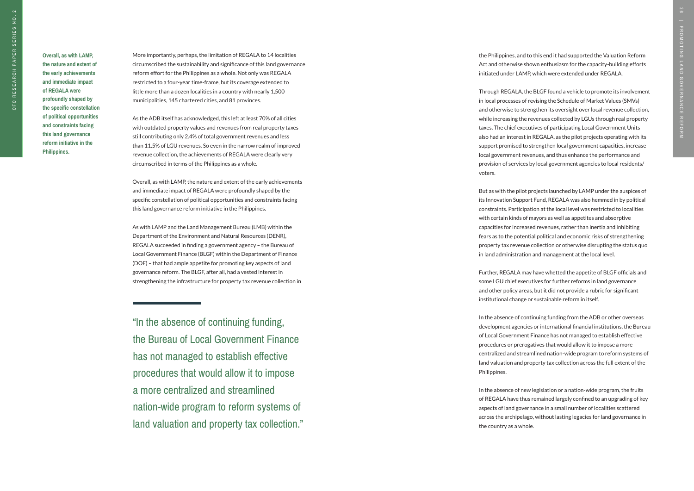**CFC** 

"In the absence of continuing funding, the Bureau of Local Government Finance has not managed to establish effective procedures that would allow it to impose a more centralized and streamlined nation-wide program to reform systems of land valuation and property tax collection."

**Overall, as with LAMP, the nature and extent of the early achievements and immediate impact of REGALA were profoundly shaped by the specific constellation of political opportunities and constraints facing this land governance reform initiative in the Philippines.** 

More importantly, perhaps, the limitation of REGALA to 14 localities circumscribed the sustainability and significance of this land governance reform effort for the Philippines as a whole. Not only was REGALA restricted to a four-year time-frame, but its coverage extended to little more than a dozen localities in a country with nearly 1,500 municipalities, 145 chartered cities, and 81 provinces.

As the ADB itself has acknowledged, this left at least 70% of all cities with outdated property values and revenues from real property taxes still contributing only 2.4% of total government revenues and less than 11.5% of LGU revenues. So even in the narrow realm of improved revenue collection, the achievements of REGALA were clearly very circumscribed in terms of the Philippines as a whole.

Overall, as with LAMP, the nature and extent of the early achievements and immediate impact of REGALA were profoundly shaped by the specific constellation of political opportunities and constraints facing this land governance reform initiative in the Philippines.

As with LAMP and the Land Management Bureau (LMB) within the Department of the Environment and Natural Resources (DENR), REGALA succeeded in finding a government agency – the Bureau of Local Government Finance (BLGF) within the Department of Finance (DOF) – that had ample appetite for promoting key aspects of land governance reform. The BLGF, after all, had a vested interest in strengthening the infrastructure for property tax revenue collection in

the Philippines, and to this end it had supported the Valuation Reform Act and otherwise shown enthusiasm for the capacity-building efforts initiated under LAMP, which were extended under REGALA.

Through REGALA, the BLGF found a vehicle to promote its involvement in local processes of revising the Schedule of Market Values (SMVs) and otherwise to strengthen its oversight over local revenue collection, while increasing the revenues collected by LGUs through real property taxes. The chief executives of participating Local Government Units also had an interest in REGALA, as the pilot projects operating with its support promised to strengthen local government capacities, increase local government revenues, and thus enhance the performance and provision of services by local government agencies to local residents/ voters.

But as with the pilot projects launched by LAMP under the auspices of its Innovation Support Fund, REGALA was also hemmed in by political constraints. Participation at the local level was restricted to localities with certain kinds of mayors as well as appetites and absorptive capacities for increased revenues, rather than inertia and inhibiting fears as to the potential political and economic risks of strengthening property tax revenue collection or otherwise disrupting the status quo in land administration and management at the local level.

Further, REGALA may have whetted the appetite of BLGF officials and some LGU chief executives for further reforms in land governance and other policy areas, but it did not provide a rubric for significant institutional change or sustainable reform in itself.

In the absence of continuing funding from the ADB or other overseas development agencies or international financial institutions, the Bureau of Local Government Finance has not managed to establish effective procedures or prerogatives that would allow it to impose a more centralized and streamlined nation-wide program to reform systems of land valuation and property tax collection across the full extent of the Philippines.

In the absence of new legislation or a nation-wide program, the fruits of REGALA have thus remained largely confined to an upgrading of key aspects of land governance in a small number of localities scattered across the archipelago, without lasting legacies for land governance in the country as a whole.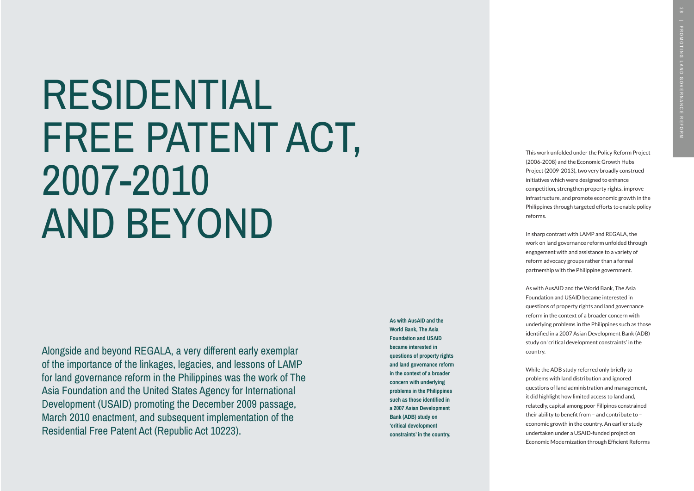**As with AusAID and the World Bank, The Asia Foundation and USAID became interested in questions of property rights and land governance reform in the context of a broader concern with underlying problems in the Philippines such as those identified in a 2007 Asian Development Bank (ADB) study on 'critical development constraints' in the country.** 

# RESIDENTIAL FREE PATENT ACT, 2007-2010 AND BEYOND

This work unfolded under the Policy Reform Project (2006-2008) and the Economic Growth Hubs Project (2009-2013), two very broadly construed initiatives which were designed to enhance competition, strengthen property rights, improve infrastructure, and promote economic growth in the Philippines through targeted efforts to enable policy reforms.

In sharp contrast with LAMP and REGALA, the work on land governance reform unfolded through engagement with and assistance to a variety of reform advocacy groups rather than a formal partnership with the Philippine government.

As with AusAID and the World Bank, The Asia Foundation and USAID became interested in questions of property rights and land governance reform in the context of a broader concern with underlying problems in the Philippines such as those identified in a 2007 Asian Development Bank (ADB) study on 'critical development constraints' in the country.

While the ADB study referred only briefly to problems with land distribution and ignored questions of land administration and management, it did highlight how limited access to land and, relatedly, capital among poor Filipinos constrained their ability to benefit from – and contribute to – economic growth in the country. An earlier study undertaken under a USAID-funded project on Economic Modernization through Efficient Reforms

Alongside and beyond REGALA, a very different early exemplar of the importance of the linkages, legacies, and lessons of LAMP for land governance reform in the Philippines was the work of The Asia Foundation and the United States Agency for International Development (USAID) promoting the December 2009 passage, March 2010 enactment, and subsequent implementation of the Residential Free Patent Act (Republic Act 10223).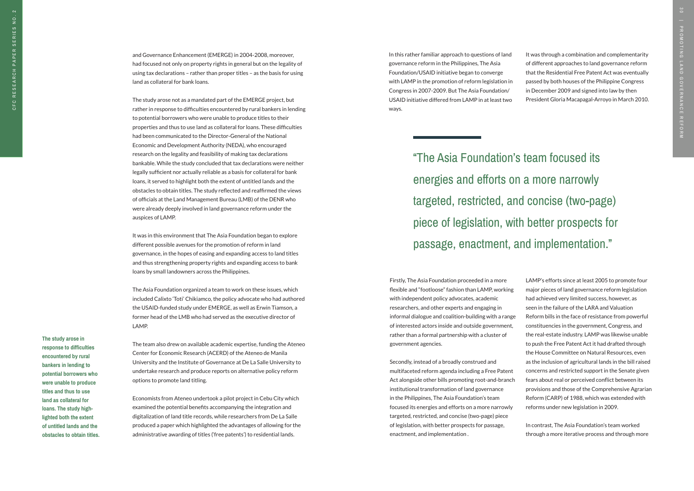**The study arose in response to difficulties encountered by rural bankers in lending to potential borrowers who were unable to produce titles and thus to use land as collateral for loans. The study high lighted both the extent of untitled lands and the obstacles to obtain titles.**  and Governance Enhancement (EMERGE) in 2004-2008, moreover, had focused not only on property rights in general but on the legality of using tax declarations – rather than proper titles – as the basis for using land as collateral for bank loans.

The study arose not as a mandated part of the EMERGE project, but rather in response to difficulties encountered by rural bankers in lending to potential borrowers who were unable to produce titles to their properties and thus to use land as collateral for loans. These difficulties had been communicated to the Director-General of the National Economic and Development Authority (NEDA), who encouraged research on the legality and feasibility of making tax declarations bankable. While the study concluded that tax declarations were neither legally sufficient nor actually reliable as a basis for collateral for bank loans, it served to highlight both the extent of untitled lands and the obstacles to obtain titles. The study reflected and reaffirmed the views of officials at the Land Management Bureau (LMB) of the DENR who were already deeply involved in land governance reform under the auspices of LAMP.

It was in this environment that The Asia Foundation began to explore different possible avenues for the promotion of reform in land governance, in the hopes of easing and expanding access to land titles and thus strengthening property rights and expanding access to bank loans by small landowners across the Philippines.

The Asia Foundation organized a team to work on these issues, which included Calixto 'Toti' Chikiamco, the policy advocate who had authored the USAID-funded study under EMERGE, as well as Erwin Tiamson, a former head of the LMB who had served as the executive director of LAMP.

The team also drew on available academic expertise, funding the Ateneo Center for Economic Research (ACERD) of the Ateneo de Manila University and the Institute of Governance at De La Salle University to undertake research and produce reports on alternative policy reform options to promote land titling.

Economists from Ateneo undertook a pilot project in Cebu City which examined the potential benefits accompanying the integration and digitalization of land title records, while researchers from De La Salle produced a paper which highlighted the advantages of allowing for the administrative awarding of titles ('free patents') to residential lands.

In this rather familiar approach to questions of land governance reform in the Philippines, The Asia Foundation/USAID initiative began to converge with LAMP in the promotion of reform legislation in Congress in 2007-2009. But The Asia Foundation/ USAID initiative differed from LAMP in at least two ways.

Firstly, The Asia Foundation proceeded in a more flexible and "footloose" fashion than LAMP, working with independent policy advocates, academic researchers, and other experts and engaging in informal dialogue and coalition-building with a range of interested actors inside and outside government, rather than a formal partnership with a cluster of government agencies.

Secondly, instead of a broadly construed and multifaceted reform agenda including a Free Patent Act alongside other bills promoting root-and-branch institutional transformation of land governance in the Philippines, The Asia Foundation's team focused its energies and efforts on a more narrowly targeted, restricted, and concise (two-page) piece of legislation, with better prospects for passage, enactment, and implementation .

"The Asia Foundation's team focused its energies and efforts on a more narrowly targeted, restricted, and concise (two-page) piece of legislation, with better prospects for passage, enactment, and implementation."

It was through a combination and complementarity of different approaches to land governance reform that the Residential Free Patent Act was eventually passed by both houses of the Philippine Congress in December 2009 and signed into law by then President Gloria Macapagal-Arroyo in March 2010.

LAMP's efforts since at least 2005 to promote four major pieces of land governance reform legislation had achieved very limited success, however, as seen in the failure of the LARA and Valuation Reform bills in the face of resistance from powerful constituencies in the government, Congress, and the real-estate industry. LAMP was likewise unable to push the Free Patent Act it had drafted through the House Committee on Natural Resources, even as the inclusion of agricultural lands in the bill raised concerns and restricted support in the Senate given fears about real or perceived conflict between its provisions and those of the Comprehensive Agrarian Reform (CARP) of 1988, which was extended with reforms under new legislation in 2009.

In contrast, The Asia Foundation's team worked through a more iterative process and through more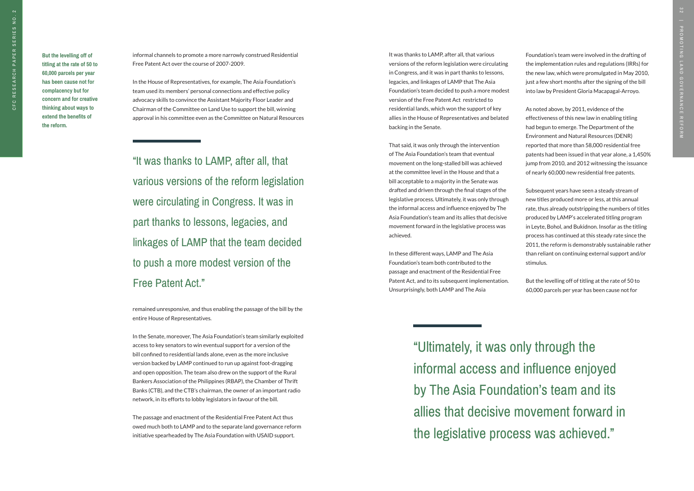"Ultimately, it was only through the informal access and influence enjoyed by The Asia Foundation's team and its allies that decisive movement forward in the legislative process was achieved."

**But the levelling off of titling at the rate of 50 to 60,000 parcels per year has been cause not for complacency but for concern and for creative thinking about ways to extend the benefits of the reform.**

informal channels to promote a more narrowly construed Residential Free Patent Act over the course of 2007-2009.

In the House of Representatives, for example, The Asia Foundation's team used its members' personal connections and effective policy advocacy skills to convince the Assistant Majority Floor Leader and Chairman of the Committee on Land Use to support the bill, winning approval in his committee even as the Committee on Natural Resources

"It was thanks to LAMP, after all, that various versions of the reform legislation were circulating in Congress. It was in part thanks to lessons, legacies, and linkages of LAMP that the team decided to push a more modest version of the Free Patent Act."

remained unresponsive, and thus enabling the passage of the bill by the entire House of Representatives.

In the Senate, moreover, The Asia Foundation's team similarly exploited access to key senators to win eventual support for a version of the bill confined to residential lands alone, even as the more inclusive version backed by LAMP continued to run up against foot-dragging and open opposition. The team also drew on the support of the Rural Bankers Association of the Philippines (RBAP), the Chamber of Thrift Banks (CTB), and the CTB's chairman, the owner of an important radio network, in its efforts to lobby legislators in favour of the bill.

The passage and enactment of the Residential Free Patent Act thus owed much both to LAMP and to the separate land governance reform initiative spearheaded by The Asia Foundation with USAID support.

It was thanks to LAMP, after all, that various versions of the reform legislation were circulating in Congress, and it was in part thanks to lessons, legacies, and linkages of LAMP that The Asia Foundation's team decided to push a more modest version of the Free Patent Act restricted to residential lands, which won the support of key allies in the House of Representatives and belated backing in the Senate.

That said, it was only through the intervention of The Asia Foundation's team that eventual movement on the long-stalled bill was achieved at the committee level in the House and that a bill acceptable to a majority in the Senate was drafted and driven through the final stages of the legislative process. Ultimately, it was only through the informal access and influence enjoyed by The Asia Foundation's team and its allies that decisive movement forward in the legislative process was achieved.

In these different ways, LAMP and The Asia Foundation's team both contributed to the passage and enactment of the Residential Free Patent Act, and to its subsequent implementation. Unsurprisingly, both LAMP and The Asia

Foundation's team were involved in the drafting of the implementation rules and regulations (IRRs) for the new law, which were promulgated in May 2010, just a few short months after the signing of the bill into law by President Gloria Macapagal-Arroyo.

As noted above, by 2011, evidence of the effectiveness of this new law in enabling titling had begun to emerge. The Department of the Environment and Natural Resources (DENR) reported that more than 58,000 residential free patents had been issued in that year alone, a 1,450% jump from 2010, and 2012 witnessing the issuance of nearly 60,000 new residential free patents.

Subsequent years have seen a steady stream of new titles produced more or less, at this annual rate, thus already outstripping the numbers of titles produced by LAMP's accelerated titling program in Leyte, Bohol, and Bukidnon. Insofar as the titling process has continued at this steady rate since the 2011, the reform is demonstrably sustainable rather than reliant on continuing external support and/or stimulus.

But the levelling off of titling at the rate of 50 to 60,000 parcels per year has been cause not for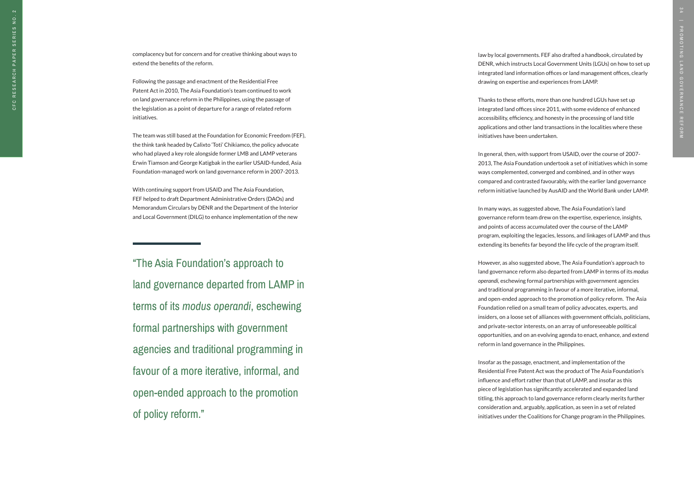"The Asia Foundation's approach to land governance departed from LAMP in terms of its *modus operandi*, eschewing formal partnerships with government agencies and traditional programming in favour of a more iterative, informal, and open-ended approach to the promotion of policy reform."

complacency but for concern and for creative thinking about ways to extend the benefits of the reform.

Following the passage and enactment of the Residential Free Patent Act in 2010, The Asia Foundation's team continued to work on land governance reform in the Philippines, using the passage of the legislation as a point of departure for a range of related reform initiatives.

The team was still based at the Foundation for Economic Freedom (FEF), the think tank headed by Calixto 'Toti' Chikiamco, the policy advocate who had played a key role alongside former LMB and LAMP veterans Erwin Tiamson and George Katigbak in the earlier USAID-funded, Asia Foundation-managed work on land governance reform in 2007-2013.

With continuing support from USAID and The Asia Foundation, FEF helped to draft Department Administrative Orders (DAOs) and Memorandum Circulars by DENR and the Department of the Interior and Local Government (DILG) to enhance implementation of the new

law by local governments. FEF also drafted a handbook, circulated by DENR, which instructs Local Government Units (LGUs) on how to set up integrated land information offices or land management offices, clearly drawing on expertise and experiences from LAMP.

Thanks to these efforts, more than one hundred LGUs have set up integrated land offices since 2011, with some evidence of enhanced accessibility, efficiency, and honesty in the processing of land title applications and other land transactions in the localities where these initiatives have been undertaken.

In general, then, with support from USAID, over the course of 2007- 2013, The Asia Foundation undertook a set of initiatives which in some ways complemented, converged and combined, and in other ways compared and contrasted favourably, with the earlier land governance reform initiative launched by AusAID and the World Bank under LAMP.

In many ways, as suggested above, The Asia Foundation's land governance reform team drew on the expertise, experience, insights, and points of access accumulated over the course of the LAMP program, exploiting the legacies, lessons, and linkages of LAMP and thus extending its benefits far beyond the life cycle of the program itself.

However, as also suggested above, The Asia Foundation's approach to land governance reform also departed from LAMP in terms of its *modus operandi,* eschewing formal partnerships with government agencies and traditional programming in favour of a more iterative, informal, and open-ended approach to the promotion of policy reform. The Asia Foundation relied on a small team of policy advocates, experts, and insiders, on a loose set of alliances with government officials, politicians, and private-sector interests, on an array of unforeseeable political opportunities, and on an evolving agenda to enact, enhance, and extend reform in land governance in the Philippines.

Insofar as the passage, enactment, and implementation of the Residential Free Patent Act was the product of The Asia Foundation's influence and effort rather than that of LAMP, and insofar as this piece of legislation has significantly accelerated and expanded land titling, this approach to land governance reform clearly merits further consideration and, arguably, application, as seen in a set of related initiatives under the Coalitions for Change program in the Philippines.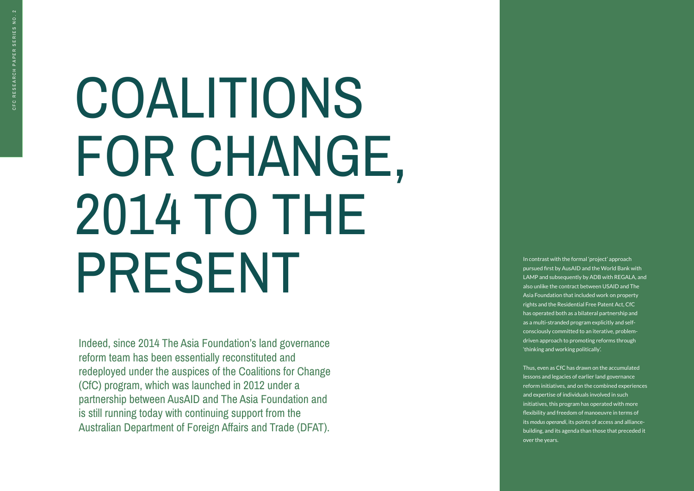# COALITIONS FOR CHANGE, 2014 TO THE PRESENT

Indeed, since 2014 The Asia Foundation's land governance reform team has been essentially reconstituted and redeployed under the auspices of the Coalitions for Change (CfC) program, which was launched in 2012 under a partnership between AusAID and The Asia Foundation and is still running today with continuing support from the Australian Department of Foreign Affairs and Trade (DFAT).

In contrast with the formal 'project' approach pursued first by AusAID and the World Bank with LAMP and subsequently by ADB with REGALA, and also unlike the contract between USAID and The Asia Foundation that included work on property rights and the Residential Free Patent Act, CfC has operated both as a bilateral partnership and as a multi-stranded program explicitly and selfconsciously committed to an iterative, problemdriven approach to promoting reforms through 'thinking and working politically'.

Thus, even as CfC has drawn on the accumulated lessons and legacies of earlier land governance reform initiatives, and on the combined experiences and expertise of individuals involved in such initiatives, this program has operated with more flexibility and freedom of manoeuvre in terms of its *modus operandi*, its points of access and alliancebuilding, and its agenda than those that preceded it over the years.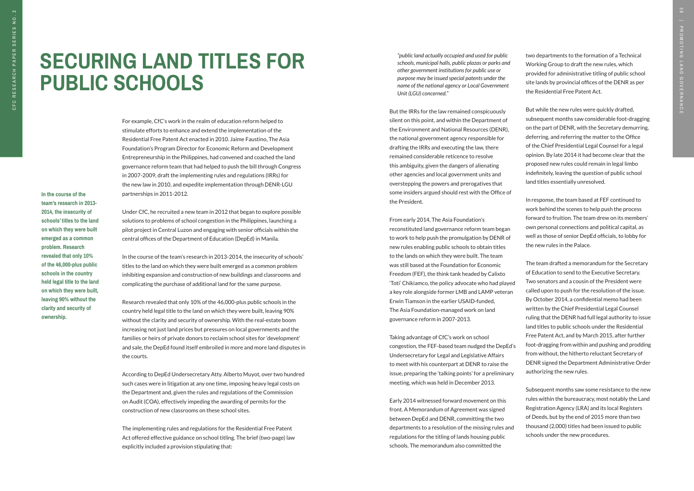## **SECURING LAND TITLES FOR PUBLIC SCHOOLS**

**In the course of the team's research in 2013- 2014, the insecurity of schools' titles to the land on which they were built emerged as a common problem. Research revealed that only 10% of the 46,000-plus public schools in the country held legal title to the land on which they were built, leaving 90% without the clarity and security of ownership.**

*"public land actually occupied and used for public schools, municipal halls, public plazas or parks and other government institutions for public use or purpose may be issued special patents under the name of the national agency or Local Government Unit (LGU) concerned."* 

But the IRRs for the law remained conspicuously silent on this point, and within the Department of the Environment and National Resources (DENR), the national government agency responsible for drafting the IRRs and executing the law, there remained considerable reticence to resolve this ambiguity, given the dangers of alienating other agencies and local government units and overstepping the powers and prerogatives that some insiders argued should rest with the Office of the President.

From early 2014, The Asia Foundation's reconstituted land governance reform team began to work to help push the promulgation by DENR of new rules enabling public schools to obtain titles to the lands on which they were built. The team was still based at the Foundation for Economic Freedom (FEF), the think tank headed by Calixto 'Toti' Chikiamco, the policy advocate who had played a key role alongside former LMB and LAMP veteran Erwin Tiamson in the earlier USAID-funded, The Asia Foundation-managed work on land governance reform in 2007-2013.

Taking advantage of CfC's work on school congestion, the FEF-based team nudged the DepEd's Undersecretary for Legal and Legislative Affairs to meet with his counterpart at DENR to raise the issue, preparing the 'talking points' for a preliminary meeting, which was held in December 2013.

Early 2014 witnessed forward movement on this front. A Memorandum of Agreement was signed between DepEd and DENR, committing the two departments to a resolution of the missing rules and regulations for the titling of lands housing public schools. The memorandum also committed the

two departments to the formation of a Technical Working Group to draft the new rules, which provided for administrative titling of public school site lands by provincial offices of the DENR as per the Residential Free Patent Act.

But while the new rules were quickly drafted, subsequent months saw considerable foot-dragging on the part of DENR, with the Secretary demurring, deferring, and referring the matter to the Office of the Chief Presidential Legal Counsel for a legal opinion. By late 2014 it had become clear that the proposed new rules could remain in legal limbo indefinitely, leaving the question of public school land titles essentially unresolved.

In response, the team based at FEF continued to work behind the scenes to help push the process forward to fruition. The team drew on its members' own personal connections and political capital, as well as those of senior DepEd officials, to lobby for the new rules in the Palace.

The team drafted a memorandum for the Secretary of Education to send to the Executive Secretary. Two senators and a cousin of the President were called upon to push for the resolution of the issue. By October 2014, a confidential memo had been written by the Chief Presidential Legal Counsel ruling that the DENR had full legal authority to issue land titles to public schools under the Residential Free Patent Act, and by March 2015, after further foot-dragging from within and pushing and prodding from without, the hitherto reluctant Secretary of DENR signed the Department Administrative Order authorizing the new rules.

Subsequent months saw some resistance to the new rules within the bureaucracy, most notably the Land Registration Agency (LRA) and its local Registers of Deeds, but by the end of 2015 more than two thousand (2,000) titles had been issued to public schools under the new procedures.

For example, CfC's work in the realm of education reform helped to stimulate efforts to enhance and extend the implementation of the Residential Free Patent Act enacted in 2010. Jaime Faustino, The Asia Foundation's Program Director for Economic Reform and Development Entrepreneurship in the Philippines, had convened and coached the land governance reform team that had helped to push the bill through Congress in 2007-2009, draft the implementing rules and regulations (IRRs) for the new law in 2010, and expedite implementation through DENR-LGU partnerships in 2011-2012.

Under CfC, he recruited a new team in 2012 that began to explore possible solutions to problems of school congestion in the Philippines, launching a pilot project in Central Luzon and engaging with senior officials within the central offices of the Department of Education (DepEd) in Manila.

In the course of the team's research in 2013-2014, the insecurity of schools' titles to the land on which they were built emerged as a common problem inhibiting expansion and construction of new buildings and classrooms and complicating the purchase of additional land for the same purpose.

Research revealed that only 10% of the 46,000-plus public schools in the country held legal title to the land on which they were built, leaving 90% without the clarity and security of ownership. With the real-estate boom increasing not just land prices but pressures on local governments and the families or heirs of private donors to reclaim school sites for 'development' and sale, the DepEd found itself embroiled in more and more land disputes in the courts.

According to DepEd Undersecretary Atty. Alberto Muyot, over two hundred such cases were in litigation at any one time, imposing heavy legal costs on the Department and, given the rules and regulations of the Commission on Audit (COA), effectively impeding the awarding of permits for the construction of new classrooms on these school sites.

The implementing rules and regulations for the Residential Free Patent Act offered effective guidance on school titling. The brief (two-page) law explicitly included a provision stipulating that: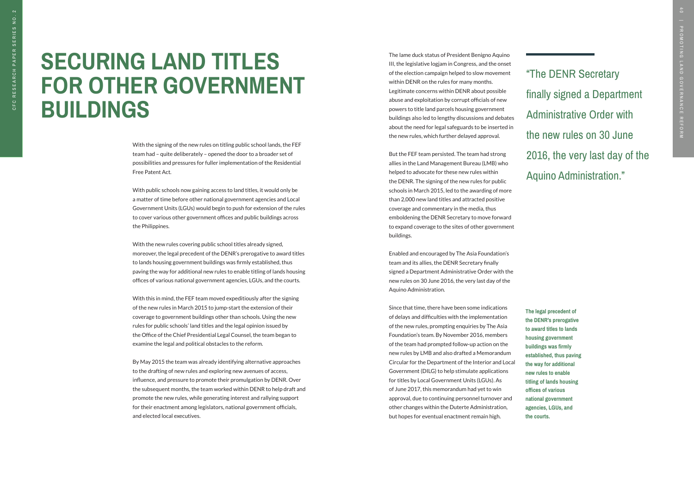"The DENR Secretary finally signed a Department Administrative Order with the new rules on 30 June 2016, the very last day of the Aquino Administration."

**The legal precedent of the DENR's prerogative to award titles to lands housing government buildings was firmly established, thus paving the way for additional new rules to enable titling of lands housing offices of various national government agencies, LGUs, and the courts.**

With the signing of the new rules on titling public school lands, the FEF team had – quite deliberately – opened the door to a broader set of possibilities and pressures for fuller implementation of the Residential Free Patent Act.

With public schools now gaining access to land titles, it would only be a matter of time before other national government agencies and Local Government Units (LGUs) would begin to push for extension of the rules to cover various other government offices and public buildings across the Philippines.

With the new rules covering public school titles already signed, moreover, the legal precedent of the DENR's prerogative to award titles to lands housing government buildings was firmly established, thus paving the way for additional new rules to enable titling of lands housing offices of various national government agencies, LGUs, and the courts.

With this in mind, the FEF team moved expeditiously after the signing of the new rules in March 2015 to jump-start the extension of their coverage to government buildings other than schools. Using the new rules for public schools' land titles and the legal opinion issued by the Office of the Chief Presidential Legal Counsel, the team began to examine the legal and political obstacles to the reform.

By May 2015 the team was already identifying alternative approaches to the drafting of new rules and exploring new avenues of access, influence, and pressure to promote their promulgation by DENR. Over the subsequent months, the team worked within DENR to help draft and promote the new rules, while generating interest and rallying support for their enactment among legislators, national government officials, and elected local executives.

## **SECURING LAND TITLES FOR OTHER GOVERNMENT BUILDINGS**

The lame duck status of President Benigno Aquino III, the legislative logjam in Congress, and the onset of the election campaign helped to slow movement within DENR on the rules for many months. Legitimate concerns within DENR about possible abuse and exploitation by corrupt officials of new powers to title land parcels housing government buildings also led to lengthy discussions and debates about the need for legal safeguards to be inserted in the new rules, which further delayed approval.

But the FEF team persisted. The team had strong allies in the Land Management Bureau (LMB) who helped to advocate for these new rules within the DENR. The signing of the new rules for public schools in March 2015, led to the awarding of more than 2,000 new land titles and attracted positive coverage and commentary in the media, thus emboldening the DENR Secretary to move forward to expand coverage to the sites of other government buildings.

Enabled and encouraged by The Asia Foundation's team and its allies, the DENR Secretary finally signed a Department Administrative Order with the new rules on 30 June 2016, the very last day of the Aquino Administration.

Since that time, there have been some indications of delays and difficulties with the implementation of the new rules, prompting enquiries by The Asia Foundation's team. By November 2016, members of the team had prompted follow-up action on the new rules by LMB and also drafted a Memorandum Circular for the Department of the Interior and Local Government (DILG) to help stimulate applications for titles by Local Government Units (LGUs). As of June 2017, this memorandum had yet to win approval, due to continuing personnel turnover and other changes within the Duterte Administration, but hopes for eventual enactment remain high.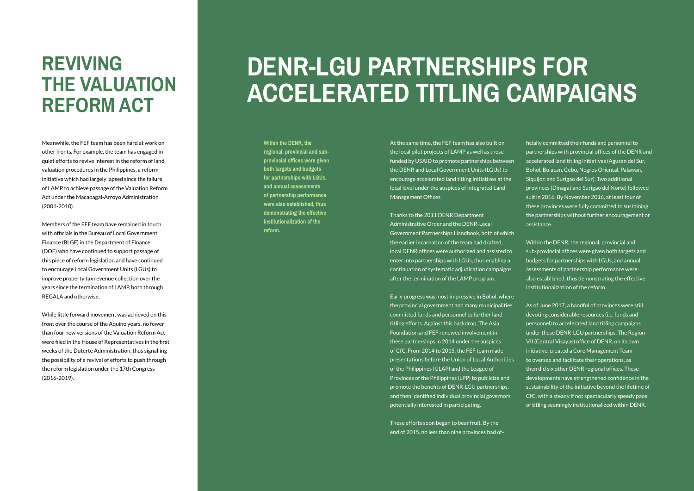# **DENR-LGU PARTNERSHIPS FOR ACCELERATED TITLING CAMPAIGNS**

At the same time, the FEF team has also built on the local pilot projects of LAMP as well as those funded by USAID to promote partnerships between the DENR and Local Government Units (LGUs) to encourage accelerated land titling initiatives at the local level under the auspices of integrated Land Management Offices.

Thanks to the 2011 DENR Department Administrative Order and the DENR-Local Government Partnerships Handbook, both of which the earlier incarnation of the team had drafted, local DENR offices were authorized and assisted to enter into partnerships with LGUs, thus enabling a continuation of systematic adjudication campaigns after the termination of the LAMP program.

Early progress was most impressive in Bohol, where the provincial government and many municipalities committed funds and personnel to further land titling efforts. Against this backdrop, The Asia Foundation and FEF renewed involvement in these partnerships in 2014 under the auspices of CfC. From 2014 to 2015, the FEF team made presentations before the Union of Local Authorities of the Philippines (ULAP) and the League of Provinces of the Philippines (LPP) to publicize and promote the benefits of DENR-LGU partnerships, and then identified individual provincial governors potentially interested in participating.

These efforts soon began to bear fruit. By the end of 2015, no less than nine provinces had officially committed their funds and personnel to partnerships with provincial offices of the DENR and accelerated land titling initiatives (Agusan del Sur, Bohol, Bulacan, Cebu, Negros Oriental, Palawan, Siquijor, and Surigao del Sur). Two additional provinces (Dinagat and Surigao del Norte) followed suit in 2016. By November 2016, at least four of these provinces were fully committed to sustaining the partnerships without further encouragement or assistance.

Within the DENR, the regional, provincial and sub-provincial offices were given both targets and budgets for partnerships with LGUs, and annual assessments of partnership performance were also established, thus demonstrating the effective institutionalization of the reform.

As of June 2017, a handful of provinces were still devoting considerable resources (i.e. funds and personnel) to accelerated land titling campaigns under these DENR-LGU partnerships. The Region VII (Central Visayas) office of DENR, on its own initiative, created a Core Management Team to oversee and facilitate their operations, as then did six other DENR regional offices. These developments have strengthened confidence in the sustainability of the initiative beyond the lifetime of CfC, with a steady if not spectacularly speedy pace of titling seemingly institutionalized within DENR.

Meanwhile, the FEF team has been hard at work on other fronts. For example, the team has engaged in quiet efforts to revive interest in the reform of land valuation procedures in the Philippines, a reform initiative which had largely lapsed since the failure of LAMP to achieve passage of the Valuation Reform Act under the Macapagal-Arroyo Administration (2001-2010).

Members of the FEF team have remained in touch with officials in the Bureau of Local Government Finance (BLGF) in the Department of Finance (DOF) who have continued to support passage of this piece of reform legislation and have continued to encourage Local Government Units (LGUs) to improve property tax revenue collection over the years since the termination of LAMP, both through REGALA and otherwise.

While little forward movement was achieved on this front over the course of the Aquino years, no fewer than four new versions of the Valuation Reform Act were filed in the House of Representatives in the first weeks of the Duterte Administration, thus signalling the possibility of a revival of efforts to push through the reform legislation under the 17th Congress (2016-2019).

### **REVIVING THE VALUATION REFORM ACT**

**Within the DENR, the regional, provincial and subprovincial offices were given both targets and budgets for partnerships with LGUs, and annual assessments of partnership performance were also established, thus demonstrating the effective institutionalization of the reform.**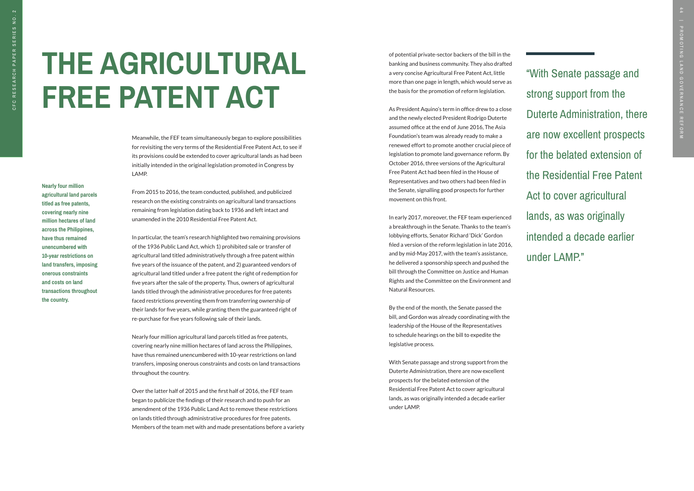"With Senate passage and strong support from the Duterte Administration, there are now excellent prospects for the belated extension of the Residential Free Patent Act to cover agricultural lands, as was originally intended a decade earlier under LAMP."

**Nearly four million agricultural land parcels titled as free patents, covering nearly nine million hectares of land across the Philippines, have thus remained unencumbered with 10-year restrictions on land transfers, imposing onerous constraints and costs on land transactions throughout the country.** 

Meanwhile, the FEF team simultaneously began to explore possibilities for revisiting the very terms of the Residential Free Patent Act, to see if its provisions could be extended to cover agricultural lands as had been initially intended in the original legislation promoted in Congress by LAMP.

From 2015 to 2016, the team conducted, published, and publicized research on the existing constraints on agricultural land transactions remaining from legislation dating back to 1936 and left intact and unamended in the 2010 Residential Free Patent Act.

In particular, the team's research highlighted two remaining provisions of the 1936 Public Land Act, which 1) prohibited sale or transfer of agricultural land titled administratively through a free patent within five years of the issuance of the patent, and 2) guaranteed vendors of agricultural land titled under a free patent the right of redemption for five years after the sale of the property. Thus, owners of agricultural lands titled through the administrative procedures for free patents faced restrictions preventing them from transferring ownership of their lands for five years, while granting them the guaranteed right of re-purchase for five years following sale of their lands.

Nearly four million agricultural land parcels titled as free patents, covering nearly nine million hectares of land across the Philippines, have thus remained unencumbered with 10-year restrictions on land transfers, imposing onerous constraints and costs on land transactions throughout the country.

Over the latter half of 2015 and the first half of 2016, the FEF team began to publicize the findings of their research and to push for an amendment of the 1936 Public Land Act to remove these restrictions on lands titled through administrative procedures for free patents. Members of the team met with and made presentations before a variety

# **THE AGRICULTURAL FREE PATENT ACT**

of potential private-sector backers of the bill in the banking and business community. They also drafted a very concise Agricultural Free Patent Act, little more than one page in length, which would serve as the basis for the promotion of reform legislation.

As President Aquino's term in office drew to a close and the newly elected President Rodrigo Duterte assumed office at the end of June 2016, The Asia Foundation's team was already ready to make a renewed effort to promote another crucial piece of legislation to promote land governance reform. By October 2016, three versions of the Agricultural Free Patent Act had been filed in the House of Representatives and two others had been filed in the Senate, signalling good prospects for further movement on this front.

In early 2017, moreover, the FEF team experienced a breakthrough in the Senate. Thanks to the team's lobbying efforts, Senator Richard 'Dick' Gordon filed a version of the reform legislation in late 2016, and by mid-May 2017, with the team's assistance, he delivered a sponsorship speech and pushed the bill through the Committee on Justice and Human Rights and the Committee on the Environment and Natural Resources.

By the end of the month, the Senate passed the bill, and Gordon was already coordinating with the leadership of the House of the Representatives to schedule hearings on the bill to expedite the legislative process.

With Senate passage and strong support from the Duterte Administration, there are now excellent prospects for the belated extension of the Residential Free Patent Act to cover agricultural lands, as was originally intended a decade earlier under LAMP.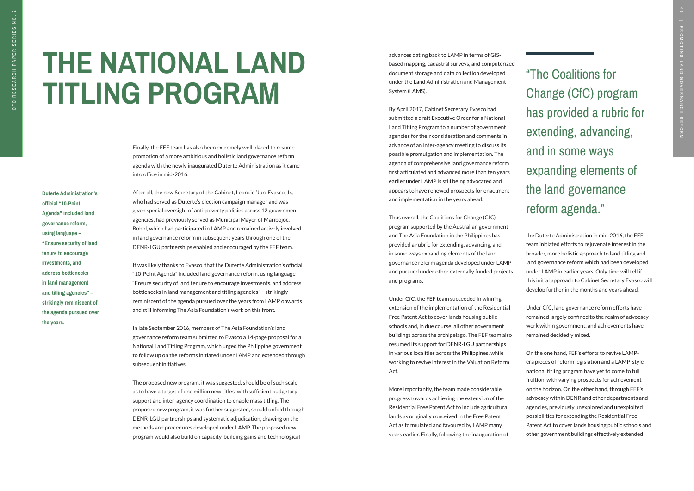advances dating back to LAMP in terms of GISbased mapping, cadastral surveys, and computerized document storage and data collection developed under the Land Administration and Management System (LAMS).

By April 2017, Cabinet Secretary Evasco had submitted a draft Executive Order for a National Land Titling Program to a number of government agencies for their consideration and comments in advance of an inter-agency meeting to discuss its possible promulgation and implementation. The agenda of comprehensive land governance reform first articulated and advanced more than ten years earlier under LAMP is still being advocated and appears to have renewed prospects for enactment and implementation in the years ahead.

Thus overall, the Coalitions for Change (CfC) program supported by the Australian government and The Asia Foundation in the Philippines has provided a rubric for extending, advancing, and in some ways expanding elements of the land governance reform agenda developed under LAMP and pursued under other externally funded projects and programs.

Under CfC, the FEF team succeeded in winning extension of the implementation of the Residential Free Patent Act to cover lands housing public schools and, in due course, all other government buildings across the archipelago. The FEF team also resumed its support for DENR-LGU partnerships in various localities across the Philippines, while working to revive interest in the Valuation Reform Act.

More importantly, the team made considerable progress towards achieving the extension of the Residential Free Patent Act to include agricultural lands as originally conceived in the Free Patent Act as formulated and favoured by LAMP many years earlier. Finally, following the inauguration of

**Duterte Administration's official "10-Point Agenda" included land governance reform, using language – "Ensure security of land tenure to encourage investments, and address bottlenecks in land management and titling agencies" – strikingly reminiscent of the agenda pursued over the years.**

Finally, the FEF team has also been extremely well placed to resume promotion of a more ambitious and holistic land governance reform agenda with the newly inaugurated Duterte Administration as it came into office in mid-2016.

After all, the new Secretary of the Cabinet, Leoncio 'Jun' Evasco, Jr., who had served as Duterte's election campaign manager and was given special oversight of anti-poverty policies across 12 government agencies, had previously served as Municipal Mayor of Maribojoc, Bohol, which had participated in LAMP and remained actively involved in land governance reform in subsequent years through one of the DENR-LGU partnerships enabled and encouraged by the FEF team.

It was likely thanks to Evasco, that the Duterte Administration's official "10-Point Agenda" included land governance reform, using language – "Ensure security of land tenure to encourage investments, and address bottlenecks in land management and titling agencies" – strikingly reminiscent of the agenda pursued over the years from LAMP onwards and still informing The Asia Foundation's work on this front.

In late September 2016, members of The Asia Foundation's land governance reform team submitted to Evasco a 14-page proposal for a National Land Titling Program, which urged the Philippine government to follow up on the reforms initiated under LAMP and extended through subsequent initiatives.

The proposed new program, it was suggested, should be of such scale as to have a target of one million new titles, with sufficient budgetary support and inter-agency coordination to enable mass titling. The proposed new program, it was further suggested, should unfold through DENR-LGU partnerships and systematic adjudication, drawing on the methods and procedures developed under LAMP. The proposed new program would also build on capacity-building gains and technological

"The Coalitions for Change (CfC) program has provided a rubric for extending, advancing, and in some ways expanding elements of the land governance reform agenda."

# **THE NATIONAL LAND TITLING PROGRAM**

the Duterte Administration in mid-2016, the FEF team initiated efforts to rejuvenate interest in the broader, more holistic approach to land titling and land governance reform which had been developed under LAMP in earlier years. Only time will tell if this initial approach to Cabinet Secretary Evasco will develop further in the months and years ahead.

Under CfC, land governance reform efforts have remained largely confined to the realm of advocacy work within government, and achievements have remained decidedly mixed.

On the one hand, FEF's efforts to revive LAMPera pieces of reform legislation and a LAMP-style national titling program have yet to come to full fruition, with varying prospects for achievement on the horizon. On the other hand, through FEF's advocacy within DENR and other departments and agencies, previously unexplored and unexploited possibilities for extending the Residential Free Patent Act to cover lands housing public schools and other government buildings effectively extended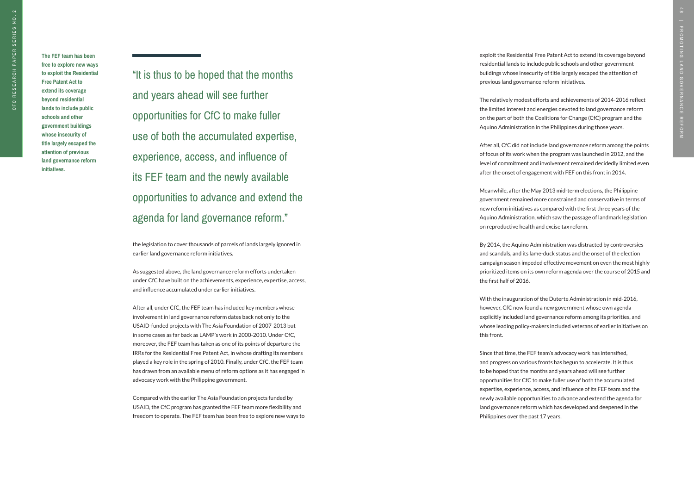**The FEF team has been free to explore new ways to exploit the Residential Free Patent Act to extend its coverage beyond residential lands to include public schools and other government buildings whose insecurity of title largely escaped the attention of previous land governance reform initiatives.**

"It is thus to be hoped that the months and years ahead will see further opportunities for CfC to make fuller use of both the accumulated expertise, experience, access, and influence of its FEF team and the newly available opportunities to advance and extend the agenda for land governance reform."

the legislation to cover thousands of parcels of lands largely ignored in earlier land governance reform initiatives.

As suggested above, the land governance reform efforts undertaken under CfC have built on the achievements, experience, expertise, access, and influence accumulated under earlier initiatives.

After all, under CfC, the FEF team has included key members whose involvement in land governance reform dates back not only to the USAID-funded projects with The Asia Foundation of 2007-2013 but in some cases as far back as LAMP's work in 2000-2010. Under CfC, moreover, the FEF team has taken as one of its points of departure the IRRs for the Residential Free Patent Act, in whose drafting its members played a key role in the spring of 2010. Finally, under CfC, the FEF team has drawn from an available menu of reform options as it has engaged in advocacy work with the Philippine government.

Compared with the earlier The Asia Foundation projects funded by USAID, the CfC program has granted the FEF team more flexibility and freedom to operate. The FEF team has been free to explore new ways to exploit the Residential Free Patent Act to extend its coverage beyond residential lands to include public schools and other government buildings whose insecurity of title largely escaped the attention of previous land governance reform initiatives.

The relatively modest efforts and achievements of 2014-2016 reflect the limited interest and energies devoted to land governance reform on the part of both the Coalitions for Change (CfC) program and the Aquino Administration in the Philippines during those years.

After all, CfC did not include land governance reform among the points of focus of its work when the program was launched in 2012, and the level of commitment and involvement remained decidedly limited even after the onset of engagement with FEF on this front in 2014.

Meanwhile, after the May 2013 mid-term elections, the Philippine government remained more constrained and conservative in terms of new reform initiatives as compared with the first three years of the Aquino Administration, which saw the passage of landmark legislation on reproductive health and excise tax reform.

By 2014, the Aquino Administration was distracted by controversies and scandals, and its lame-duck status and the onset of the election campaign season impeded effective movement on even the most highly prioritized items on its own reform agenda over the course of 2015 and

the first half of 2016.

With the inauguration of the Duterte Administration in mid-2016, however, CfC now found a new government whose own agenda explicitly included land governance reform among its priorities, and whose leading policy-makers included veterans of earlier initiatives on

this front.

Since that time, the FEF team's advocacy work has intensified, and progress on various fronts has begun to accelerate. It is thus to be hoped that the months and years ahead will see further opportunities for CfC to make fuller use of both the accumulated expertise, experience, access, and influence of its FEF team and the newly available opportunities to advance and extend the agenda for land governance reform which has developed and deepened in the Philippines over the past 17 years.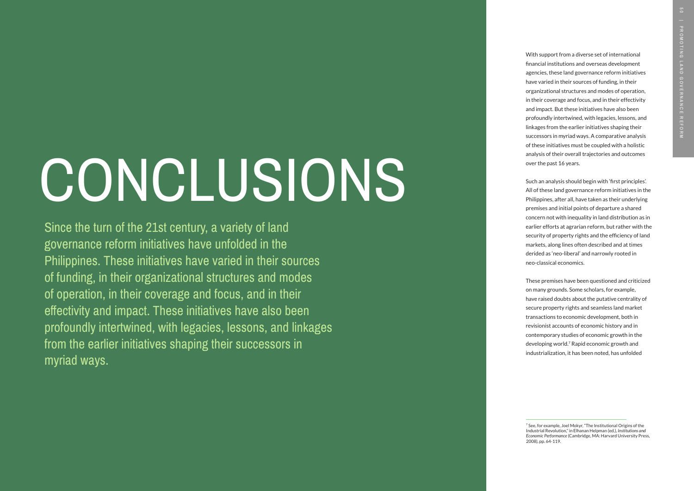With support from a diverse set of international financial institutions and overseas development agencies, these land governance reform initiatives have varied in their sources of funding, in their organizational structures and modes of operation, in their coverage and focus, and in their effectivity and impact. But these initiatives have also been profoundly intertwined, with legacies, lessons, and linkages from the earlier initiatives shaping their successors in myriad ways. A comparative analysis of these initiatives must be coupled with a holistic analysis of their overall trajectories and outcomes over the past 16 years.

Such an analysis should begin with 'first principles'. All of these land governance reform initiatives in the Philippines, after all, have taken as their underlying premises and initial points of departure a shared concern not with inequality in land distribution as in earlier efforts at agrarian reform, but rather with the security of property rights and the efficiency of land markets, along lines often described and at times derided as 'neo-liberal' and narrowly rooted in neo-classical economics.

These premises have been questioned and criticized on many grounds. Some scholars, for example, have raised doubts about the putative centrality of secure property rights and seamless land market transactions to economic development, both in revisionist accounts of economic history and in contemporary studies of economic growth in the developing world. 7 Rapid economic growth and industrialization, it has been noted, has unfolded 7 See, for example, Joel Mokyr, "The Institutional Origins of the

# CONCLUSIONS

Since the turn of the 21st century, a variety of land governance reform initiatives have unfolded in the Philippines. These initiatives have varied in their sources of funding, in their organizational structures and modes of operation, in their coverage and focus, and in their effectivity and impact. These initiatives have also been profoundly intertwined, with legacies, lessons, and linkages from the earlier initiatives shaping their successors in myriad ways.

Industrial Revolution," in Elhanan Helpman (ed.), *Institutions and Economic Performance* (Cambridge, MA: Harvard University Press, 2008), pp. 64-119.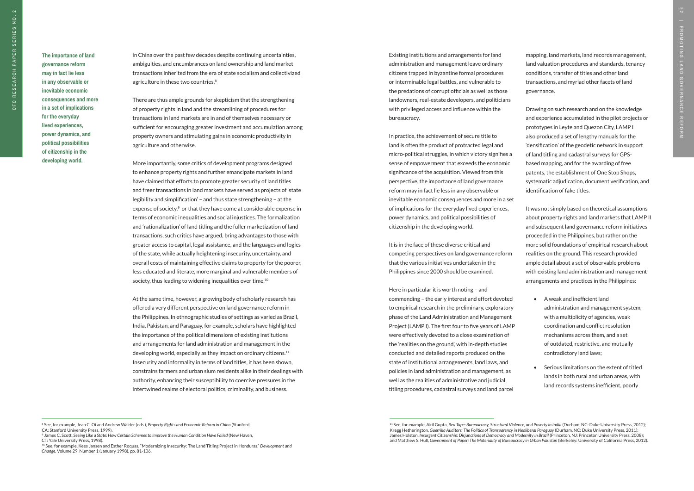**The importance of land governance reform may in fact lie less in any observable or inevitable economic consequences and more in a set of implications for the everyday lived experiences, power dynamics, and political possibilities of citizenship in the developing world.**

More importantly, some critics of development programs designed to enhance property rights and further emancipate markets in land have claimed that efforts to promote greater security of land titles and freer transactions in land markets have served as projects of 'state legibility and simplification' – and thus state strengthening – at the expense of society,<sup>9</sup> or that they have come at considerable expense in terms of economic inequalities and social injustices. The formalization and 'rationalization' of land titling and the fuller marketization of land transactions, such critics have argued, bring advantages to those with greater access to capital, legal assistance, and the languages and logics of the state, while actually heightening insecurity, uncertainty, and overall costs of maintaining effective claims to property for the poorer, less educated and literate, more marginal and vulnerable members of society, thus leading to widening inequalities over time.<sup>10</sup>

in China over the past few decades despite continuing uncertainties, ambiguities, and encumbrances on land ownership and land market transactions inherited from the era of state socialism and collectivized agriculture in these two countries.8

There are thus ample grounds for skepticism that the strengthening of property rights in land and the streamlining of procedures for transactions in land markets are in and of themselves necessary or sufficient for encouraging greater investment and accumulation among property owners and stimulating gains in economic productivity in agriculture and otherwise.

At the same time, however, a growing body of scholarly research has offered a very different perspective on land governance reform in the Philippines. In ethnographic studies of settings as varied as Brazil, India, Pakistan, and Paraguay, for example, scholars have highlighted the importance of the political dimensions of existing institutions and arrangements for land administration and management in the developing world, especially as they impact on ordinary citizens.11 Insecurity and informality in terms of land titles, it has been shown, constrains farmers and urban slum residents alike in their dealings with authority, enhancing their susceptibility to coercive pressures in the intertwined realms of electoral politics, criminality, and business.

Existing institutions and arrangements for land administration and management leave ordinary citizens trapped in byzantine formal procedures or interminable legal battles, and vulnerable to the predations of corrupt officials as well as those landowners, real-estate developers, and politicians with privileged access and influence within the bureaucracy.

In practice, the achievement of secure title to land is often the product of protracted legal and micro-political struggles, in which victory signifies a sense of empowerment that exceeds the economic significance of the acquisition. Viewed from this perspective, the importance of land governance reform may in fact lie less in any observable or inevitable economic consequences and more in a set of implications for the everyday lived experiences, power dynamics, and political possibilities of citizenship in the developing world.

It is in the face of these diverse critical and competing perspectives on land governance reform that the various initiatives undertaken in the Philippines since 2000 should be examined.

Here in particular it is worth noting – and commending – the early interest and effort devoted to empirical research in the preliminary, exploratory phase of the Land Administration and Management Project (LAMP I). The first four to five years of LAMP were effectively devoted to a close examination of the 'realities on the ground', with in-depth studies conducted and detailed reports produced on the state of institutional arrangements, land laws, and policies in land administration and management, as well as the realities of administrative and judicial titling procedures, cadastral surveys and land parcel

mapping, land markets, land records management, land valuation procedures and standards, tenancy conditions, transfer of titles and other land transactions, and myriad other facets of land governance.

Drawing on such research and on the knowledge and experience accumulated in the pilot projects or prototypes in Leyte and Quezon City, LAMP I also produced a set of lengthy manuals for the 'densification' of the geodetic network in support of land titling and cadastral surveys for GPSbased mapping, and for the awarding of free patents, the establishment of One Stop Shops, systematic adjudication, document verification, and identification of fake titles.

It was not simply based on theoretical assumptions about property rights and land markets that LAMP II and subsequent land governance reform initiatives proceeded in the Philippines, but rather on the more solid foundations of empirical research about realities on the ground. This research provided ample detail about a set of observable problems with existing land administration and management arrangements and practices in the Philippines:

- A weak and inefficient land administration and management system, with a multiplicity of agencies, weak coordination and conflict resolution mechanisms across them, and a set of outdated, restrictive, and mutually contradictory land laws;
- Serious limitations on the extent of titled lands in both rural and urban areas, with land records systems inefficient, poorly

<sup>&</sup>lt;sup>11</sup> See, for example, Akil Gupta, Red Tape: Bureaucracy, Structural Violence, and Poverty in India (Durham, NC: Duke University Press, 2012); Kregg Hetherington, *Guerrilla Auditors: The Politics of Transparency in Neoliberal Paraguay* (Durham, NC: Duke University Press, 2011); James Holston, *Insurgent Citizenship: Disjunctions of Democracy and Modernity in Brazil* (Princeton, NJ: Princeton University Press, 2008); and Matthew S. Hull, *Government of Paper: The Materiality of Bureaucracy in Urban Pakistan* (Berkeley: University of California Press, 2012).

<sup>&</sup>lt;sup>9</sup> James C. Scott, *Seeing Like a State: How Certain Schemes to Improve the Human Condition Have Failed (New Haven,* CT: Yale University Press, 1998).

<sup>8</sup> See, for example, Jean C. Oi and Andrew Walder (eds.), *Property Rights and Economic Reform in China* (Stanford, CA: Stanford University Press, 1999).

<sup>10</sup> See, for example, Kees Jansen and Esther Roquas, "Modernizing Insecurity: The Land Titling Project in Honduras," *Development and Change*, Volume 29, Number 1 (January 1998), pp. 81-106.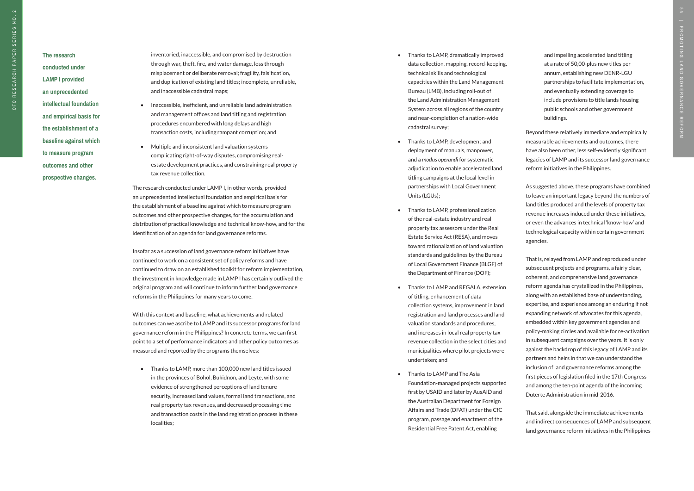### **The research conducted under LAMP I provided an unprecedented intellectual foundation**

**and empirical basis for the establishment of a baseline against which to measure program outcomes and other prospective changes.** 

inventoried, inaccessible, and compromised by destruction through war, theft, fire, and water damage, loss through misplacement or deliberate removal; fragility, falsification, and duplication of existing land titles; incomplete, unreliable, and inaccessible cadastral maps;

- Inaccessible, inefficient, and unreliable land administration and management offices and land titling and registration procedures encumbered with long delays and high transaction costs, including rampant corruption; and
- Multiple and inconsistent land valuation systems complicating right-of-way disputes, compromising realestate development practices, and constraining real property tax revenue collection.

The research conducted under LAMP I, in other words, provided an unprecedented intellectual foundation and empirical basis for the establishment of a baseline against which to measure program outcomes and other prospective changes, for the accumulation and distribution of practical knowledge and technical know-how, and for the identification of an agenda for land governance reforms.

Insofar as a succession of land governance reform initiatives have continued to work on a consistent set of policy reforms and have continued to draw on an established toolkit for reform implementation, the investment in knowledge made in LAMP I has certainly outlived the original program and will continue to inform further land governance reforms in the Philippines for many years to come.

With this context and baseline, what achievements and related outcomes can we ascribe to LAMP and its successor programs for land governance reform in the Philippines? In concrete terms, we can first point to a set of performance indicators and other policy outcomes as measured and reported by the programs themselves:

• Thanks to LAMP, more than 100,000 new land titles issued in the provinces of Bohol, Bukidnon, and Leyte, with some evidence of strengthened perceptions of land tenure security, increased land values, formal land transactions, and real property tax revenues, and decreased processing time and transaction costs in the land registration process in these localities;

- Thanks to LAMP, dramatically improved data collection, mapping, record-keeping, technical skills and technological capacities within the Land Management Bureau (LMB), including roll-out of the Land Administration Management System across all regions of the country and near-completion of a nation-wide cadastral survey;
- Thanks to LAMP, development and deployment of manuals, manpower, and a *modus operandi* for systematic adjudication to enable accelerated land titling campaigns at the local level in partnerships with Local Government Units (LGUs);
- Thanks to LAMP, professionalization of the real-estate industry and real property tax assessors under the Real Estate Service Act (RESA), and moves toward rationalization of land valuation standards and guidelines by the Bureau of Local Government Finance (BLGF) of the Department of Finance (DOF);
- Thanks to LAMP and REGALA, extension of titling, enhancement of data collection systems, improvement in land registration and land processes and land valuation standards and procedures, and increases in local real property tax revenue collection in the select cities and municipalities where pilot projects were undertaken; and
- Thanks to LAMP and The Asia Foundation-managed projects supported first by USAID and later by AusAID and the Australian Department for Foreign Affairs and Trade (DFAT) under the CfC program, passage and enactment of the Residential Free Patent Act, enabling

and impelling accelerated land titling at a rate of 50,00-plus new titles per annum, establishing new DENR-LGU partnerships to facilitate implementation, and eventually extending coverage to include provisions to title lands housing public schools and other government buildings.

Beyond these relatively immediate and empirically measurable achievements and outcomes, there have also been other, less self-evidently significant legacies of LAMP and its successor land governance reform initiatives in the Philippines.

As suggested above, these programs have combined to leave an important legacy beyond the numbers of land titles produced and the levels of property tax revenue increases induced under these initiatives, or even the advances in technical 'know-how' and technological capacity within certain government agencies.

That is, relayed from LAMP and reproduced under subsequent projects and programs, a fairly clear, coherent, and comprehensive land governance reform agenda has crystallized in the Philippines, along with an established base of understanding, expertise, and experience among an enduring if not expanding network of advocates for this agenda, embedded within key government agencies and policy-making circles and available for re-activation in subsequent campaigns over the years. It is only against the backdrop of this legacy of LAMP and its partners and heirs in that we can understand the inclusion of land governance reforms among the first pieces of legislation filed in the 17th Congress and among the ten-point agenda of the incoming Duterte Administration in mid-2016.

That said, alongside the immediate achievements and indirect consequences of LAMP and subsequent land governance reform initiatives in the Philippines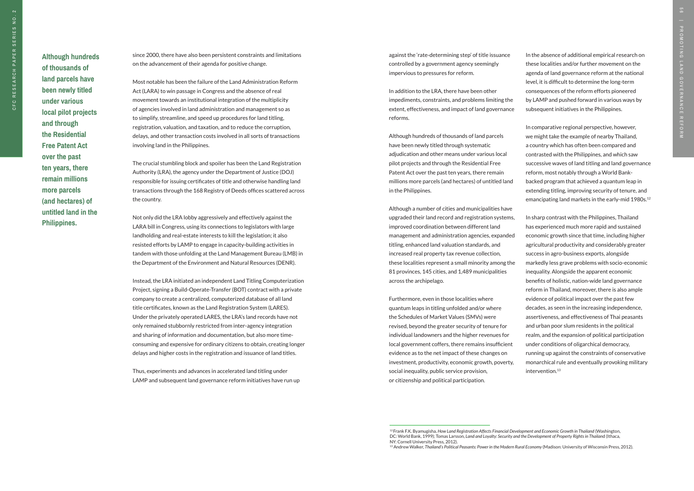13 Andrew Walker, *Thailand's Political Peasants: Power in the Modern Rural Economy* (Madison: University of Wisconsin Press, 2012).

since 2000, there have also been persistent constraints and limitations on the advancement of their agenda for positive change.

Most notable has been the failure of the Land Administration Reform Act (LARA) to win passage in Congress and the absence of real movement towards an institutional integration of the multiplicity of agencies involved in land administration and management so as to simplify, streamline, and speed up procedures for land titling, registration, valuation, and taxation, and to reduce the corruption, delays, and other transaction costs involved in all sorts of transactions involving land in the Philippines.

The crucial stumbling block and spoiler has been the Land Registration Authority (LRA), the agency under the Department of Justice (DOJ) responsible for issuing certificates of title and otherwise handling land transactions through the 168 Registry of Deeds offices scattered across the country.

Not only did the LRA lobby aggressively and effectively against the LARA bill in Congress, using its connections to legislators with large landholding and real-estate interests to kill the legislation; it also resisted efforts by LAMP to engage in capacity-building activities in tandem with those unfolding at the Land Management Bureau (LMB) in the Department of the Environment and Natural Resources (DENR).

Instead, the LRA initiated an independent Land Titling Computerization Project, signing a Build-Operate-Transfer (BOT) contract with a private company to create a centralized, computerized database of all land title certificates, known as the Land Registration System (LARES). Under the privately operated LARES, the LRA's land records have not only remained stubbornly restricted from inter-agency integration and sharing of information and documentation, but also more timeconsuming and expensive for ordinary citizens to obtain, creating longer delays and higher costs in the registration and issuance of land titles.

In sharp contrast with the Philippines, Thailand has experienced much more rapid and sustained economic growth since that time, including higher agricultural productivity and considerably greater success in agro-business exports, alongside markedly less grave problems with socio-economic inequality. Alongside the apparent economic benefits of holistic, nation-wide land governance reform in Thailand, moreover, there is also ample evidence of political impact over the past few decades, as seen in the increasing independence, assertiveness, and effectiveness of Thai peasants and urban poor slum residents in the political realm, and the expansion of political participation under conditions of oligarchical democracy, running up against the constraints of conservative monarchical rule and eventually provoking military intervention.<sup>13</sup>

Thus, experiments and advances in accelerated land titling under LAMP and subsequent land governance reform initiatives have run up against the 'rate-determining step' of title issuance controlled by a government agency seemingly impervious to pressures for reform.

In addition to the LRA, there have been other impediments, constraints, and problems limiting the extent, effectiveness, and impact of land governance reforms.

Although hundreds of thousands of land parcels have been newly titled through systematic adjudication and other means under various local pilot projects and through the Residential Free Patent Act over the past ten years, there remain millions more parcels (and hectares) of untitled land in the Philippines.

Although a number of cities and municipalities have upgraded their land record and registration systems, improved coordination between different land management and administration agencies, expanded titling, enhanced land valuation standards, and increased real property tax revenue collection, these localities represent a small minority among the 81 provinces, 145 cities, and 1,489 municipalities across the archipelago.

Furthermore, even in those localities where quantum leaps in titling unfolded and/or where the Schedules of Market Values (SMVs) were revised, beyond the greater security of tenure for individual landowners and the higher revenues for local government coffers, there remains insufficient evidence as to the net impact of these changes on investment, productivity, economic growth, poverty, social inequality, public service provision, or citizenship and political participation.

In the absence of additional empirical research on these localities and/or further movement on the agenda of land governance reform at the national level, it is difficult to determine the long-term consequences of the reform efforts pioneered by LAMP and pushed forward in various ways by subsequent initiatives in the Philippines.

In comparative regional perspective, however, we might take the example of nearby Thailand, a country which has often been compared and contrasted with the Philippines, and which saw successive waves of land titling and land governance reform, most notably through a World Bankbacked program that achieved a quantum leap in extending titling, improving security of tenure, and emancipating land markets in the early-mid 1980s.12

**Although hundreds of thousands of land parcels have been newly titled under various local pilot projects and through the Residential Free Patent Act over the past ten years, there remain millions more parcels (and hectares) of untitled land in the Philippines.**

<sup>12</sup> Frank F.K. Byamugisha, *How Land Registration Affects Financial Development and Economic Growth in Thailand* (Washington, DC: World Bank, 1999); Tomas Larsson, *Land and Loyalty: Security and the Development of Property Rights in Thailan*d (Ithaca, NY: Cornell University Press, 2012).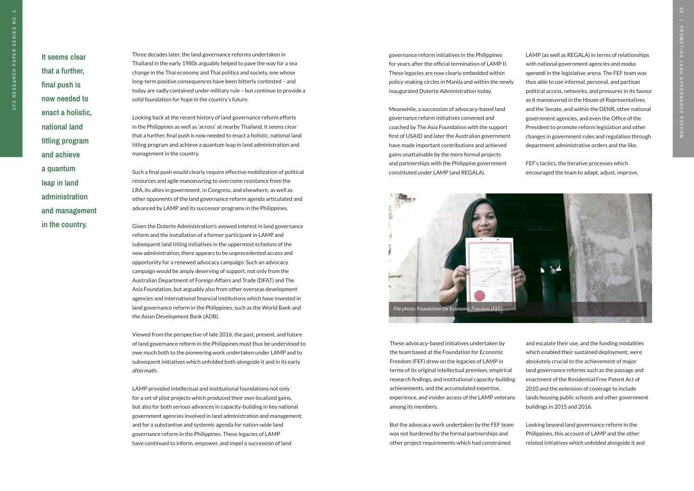**It seems clear that a further, final push is now needed to enact a holistic, national land titling program and achieve a quantum leap in land administration and management in the country.** 

Three decades later, the land governance reforms undertaken in Thailand in the early 1980s arguably helped to pave the way for a sea change in the Thai economy and Thai politics and society, one whose long-term positive consequences have been bitterly contested – and today are sadly contained under military rule – but continue to provide a solid foundation for hope in the country's future.

Looking back at the recent history of land governance reform efforts in the Philippines as well as 'across' at nearby Thailand, it seems clear that a further, final push is now needed to enact a holistic, national land titling program and achieve a quantum leap in land administration and management in the country.

Such a final push would clearly require effective mobilization of political resources and agile manoeuvring to overcome resistance from the LRA, its allies in government, in Congress, and elsewhere, as well as other opponents of the land governance reform agenda articulated and advanced by LAMP and its successor programs in the Philippines.

Given the Duterte Administration's avowed interest in land governance reform and the installation of a former participant in LAMP and subsequent land titling initiatives in the uppermost echelons of the new administration, there appears to be unprecedented access and opportunity for a renewed advocacy campaign. Such an advocacy campaign would be amply deserving of support, not only from the Australian Department of Foreign Affairs and Trade (DFAT) and The Asia Foundation, but arguably also from other overseas development agencies and international financial institutions which have invested in land governance reform in the Philippines, such as the World Bank and the Asian Development Bank (ADB).

Viewed from the perspective of late 2016, the past, present, and future of land governance reform in the Philippines must thus be understood to owe much both to the pioneering work undertaken under LAMP and to subsequent initiatives which unfolded both alongside it and in its early aftermath.

LAMP provided intellectual and institutional foundations not only for a set of pilot projects which produced their own localized gains, but also for both serious advances in capacity-building in key national government agencies involved in land administration and management, and for a substantive and systemic agenda for nation-wide land governance reform in the Philippines. These legacies of LAMP have continued to inform, empower, and impel a succession of land

governance reform initiatives in the Philippines for years after the official termination of LAMP II. These legacies are now clearly embedded within policy-making circles in Manila and within the newly inaugurated Duterte Administration today.

Meanwhile, a succession of advocacy-based land governance reform initiatives convened and coached by The Asia Foundation with the support first of USAID and later the Australian government have made important contributions and achieved gains unattainable by the more formal projects and partnerships with the Philippine government constituted under LAMP (and REGALA).

These advocacy-based initiatives undertaken by the team based at the Foundation for Economic Freedom (FEF) drew on the legacies of LAMP in terms of its original intellectual premises, empirical research findings, and institutional capacity-building achievements, and the accumulated expertise, experience, and insider access of the LAMP veterans among its members.

But the advocacy work undertaken by the FEF team was not burdened by the formal partnerships and other project requirements which had constrained

LAMP (as well as REGALA) in terms of relationships with national government agencies and *modus operandi* in the legislative arena. The FEF team was thus able to use informal, personal, and partisan political access, networks, and pressures in its favour as it manoeuvred in the House of Representatives and the Senate, and within the DENR, other national government agencies, and even the Office of the President to promote reform legislation and other changes in government rules and regulation through department administrative orders and the like.

FEF's tactics, the iterative processes which encouraged the team to adapt, adjust, improve,

and escalate their use, and the funding modalities which enabled their sustained deployment, were absolutely crucial to the achievement of major land governance reforms such as the passage and enactment of the Residential Free Patent Act of 2010 and the extension of coverage to include lands housing public schools and other government buildings in 2015 and 2016.

Looking beyond land governance reform in the Philippines, this account of LAMP and the other related initiatives which unfolded alongside it and

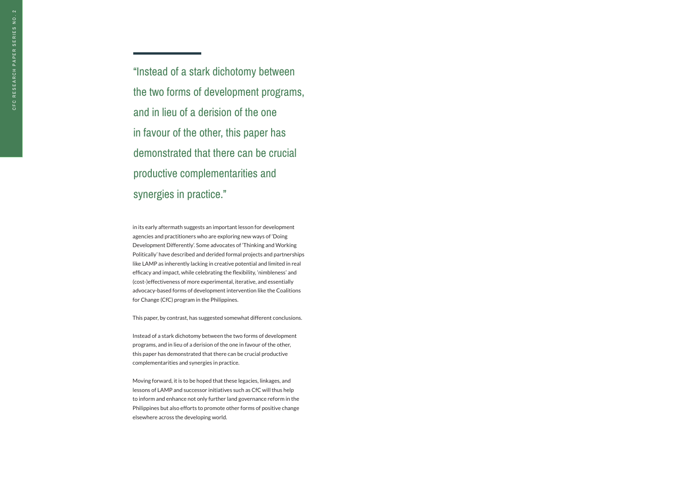in its early aftermath suggests an important lesson for development agencies and practitioners who are exploring new ways of 'Doing Development Differently'. Some advocates of 'Thinking and Working Politically' have described and derided formal projects and partnerships like LAMP as inherently lacking in creative potential and limited in real efficacy and impact, while celebrating the flexibility, 'nimbleness' and (cost-)effectiveness of more experimental, iterative, and essentially advocacy-based forms of development intervention like the Coalitions for Change (CfC) program in the Philippines.

"Instead of a stark dichotomy between the two forms of development programs, and in lieu of a derision of the one in favour of the other, this paper has demonstrated that there can be crucial productive complementarities and synergies in practice."

This paper, by contrast, has suggested somewhat different conclusions.

Instead of a stark dichotomy between the two forms of development programs, and in lieu of a derision of the one in favour of the other, this paper has demonstrated that there can be crucial productive complementarities and synergies in practice.

Moving forward, it is to be hoped that these legacies, linkages, and lessons of LAMP and successor initiatives such as CfC will thus help to inform and enhance not only further land governance reform in the Philippines but also efforts to promote other forms of positive change elsewhere across the developing world.